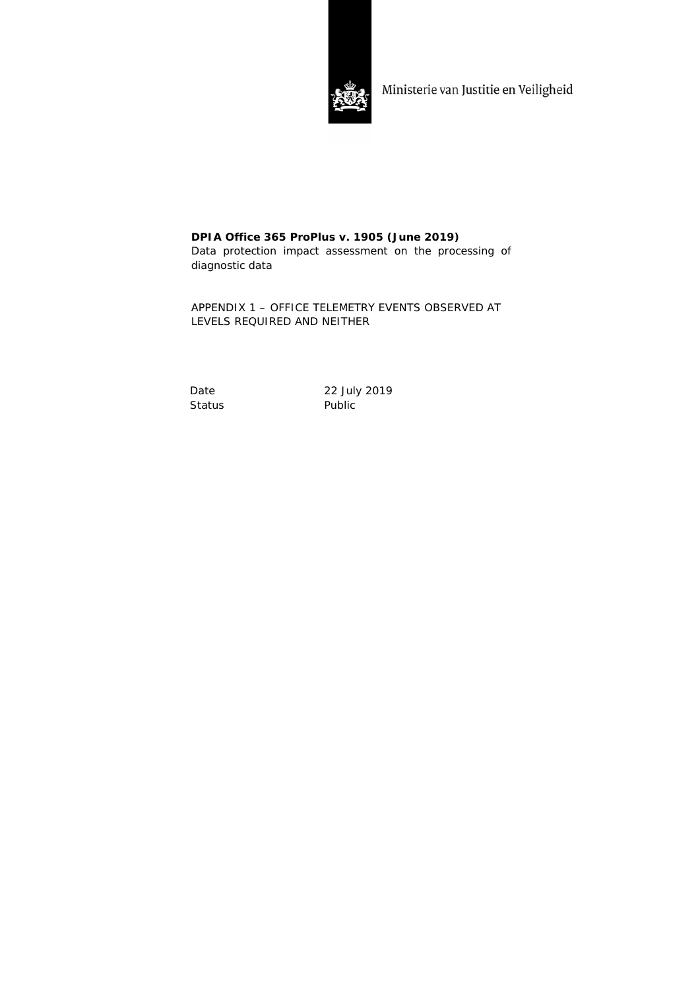

Ministerie van Justitie en Veiligheid

### **DPIA Office 365 ProPlus v. 1905 (June 2019)** Data protection impact assessment on the processing of diagnostic data

APPENDIX 1 – OFFICE TELEMETRY EVENTS OBSERVED AT LEVELS REQUIRED AND NEITHER

Status Public

Date 22 July 2019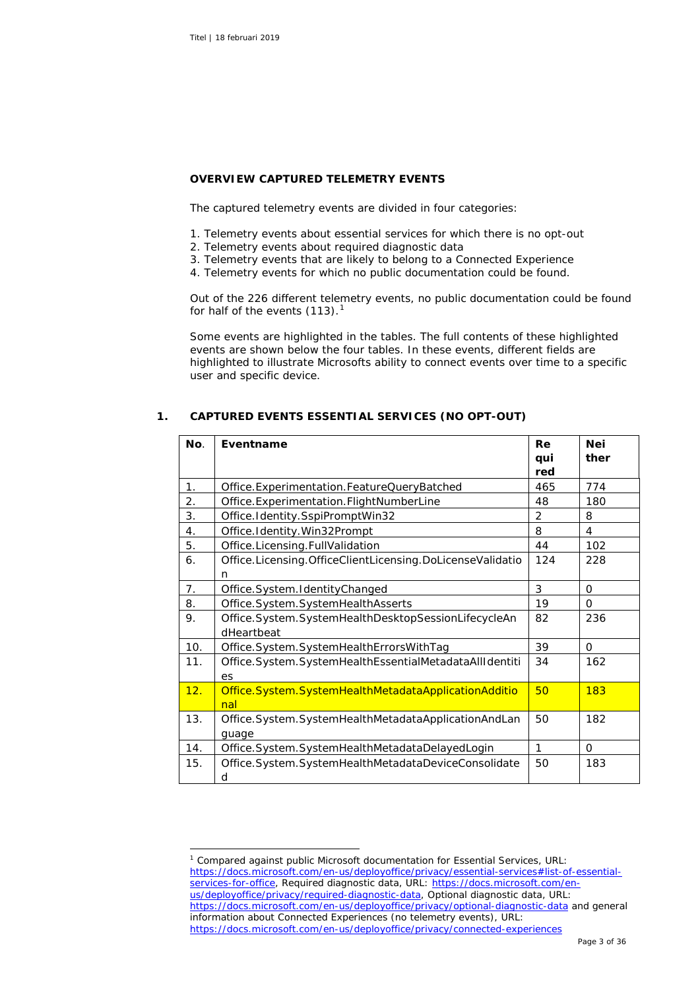### **OVERVIEW CAPTURED TELEMETRY EVENTS**

The captured telemetry events are divided in four categories:

- 1. Telemetry events about essential services for which there is no opt-out
- 2. Telemetry events about required diagnostic data
- 3. Telemetry events that are likely to belong to a Connected Experience
- 4. Telemetry events for which no public documentation could be found.

Out of the 226 different telemetry events, no public documentation could be found for half of the events  $(113).<sup>1</sup>$  $(113).<sup>1</sup>$  $(113).<sup>1</sup>$ 

Some events are highlighted in the tables. The full contents of these highlighted events are shown below the four tables. In these events, different fields are highlighted to illustrate Microsofts ability to connect events over time to a specific user and specific device.

| No. | Eventname                                                 | <b>Re</b>     | <b>Nei</b><br>ther |
|-----|-----------------------------------------------------------|---------------|--------------------|
|     |                                                           | qui<br>red    |                    |
| 1.  | Office.Experimentation.FeatureQueryBatched                | 465           | 774                |
| 2.  | Office.Experimentation.FlightNumberLine                   | 48            | 180                |
| 3.  | Office.Identity.SspiPromptWin32                           | $\mathcal{P}$ | 8                  |
| 4.  | Office.Identity.Win32Prompt                               | 8             | 4                  |
| 5.  | Office.Licensing.FullValidation                           | 44            | 102                |
| 6.  | Office.Licensing.OfficeClientLicensing.DoLicenseValidatio | 124           | 228                |
|     | n                                                         |               |                    |
| 7.  | Office.System.IdentityChanged                             | 3             | $\Omega$           |
| 8.  | Office.System.SystemHealthAsserts                         | 19            | $\Omega$           |
| 9.  | Office.System.SystemHealthDesktopSessionLifecycleAn       | 82            | 236                |
|     | dHeartbeat                                                |               |                    |
| 10. | Office.System.SystemHealthErrorsWithTag                   | 39            | $\Omega$           |
| 11. | Office.System.SystemHealthEssentialMetadataAllIdentiti    | 34            | 162                |
|     | es.                                                       |               |                    |
| 12. | Office.System.SystemHealthMetadataApplicationAdditio      | 50            | 183                |
|     | nal                                                       |               |                    |
| 13. | Office.System.SystemHealthMetadataApplicationAndLan       | 50            | 182                |
|     | guage                                                     |               |                    |
| 14. | Office.System.SystemHealthMetadataDelayedLogin            | 1             | $\Omega$           |
| 15. | Office.System.SystemHealthMetadataDeviceConsolidate       | 50            | 183                |
|     | d                                                         |               |                    |

### **1. CAPTURED EVENTS ESSENTIAL SERVICES (NO OPT-OUT)**

<span id="page-2-0"></span> <sup>1</sup> Compared against public Microsoft documentation for Essential Services, URL: [https://docs.microsoft.com/en-us/deployoffice/privacy/essential-services#list-of-essential](https://docs.microsoft.com/en-us/deployoffice/privacy/essential-services#list-of-essential-services-for-office)[services-for-office,](https://docs.microsoft.com/en-us/deployoffice/privacy/essential-services#list-of-essential-services-for-office) Required diagnostic data, URL: [https://docs.microsoft.com/en](https://docs.microsoft.com/en-us/deployoffice/privacy/required-diagnostic-data)[us/deployoffice/privacy/required-diagnostic-data,](https://docs.microsoft.com/en-us/deployoffice/privacy/required-diagnostic-data) Optional diagnostic data, URL: <https://docs.microsoft.com/en-us/deployoffice/privacy/optional-diagnostic-data> and general information about Connected Experiences (no telemetry events), URL: <https://docs.microsoft.com/en-us/deployoffice/privacy/connected-experiences>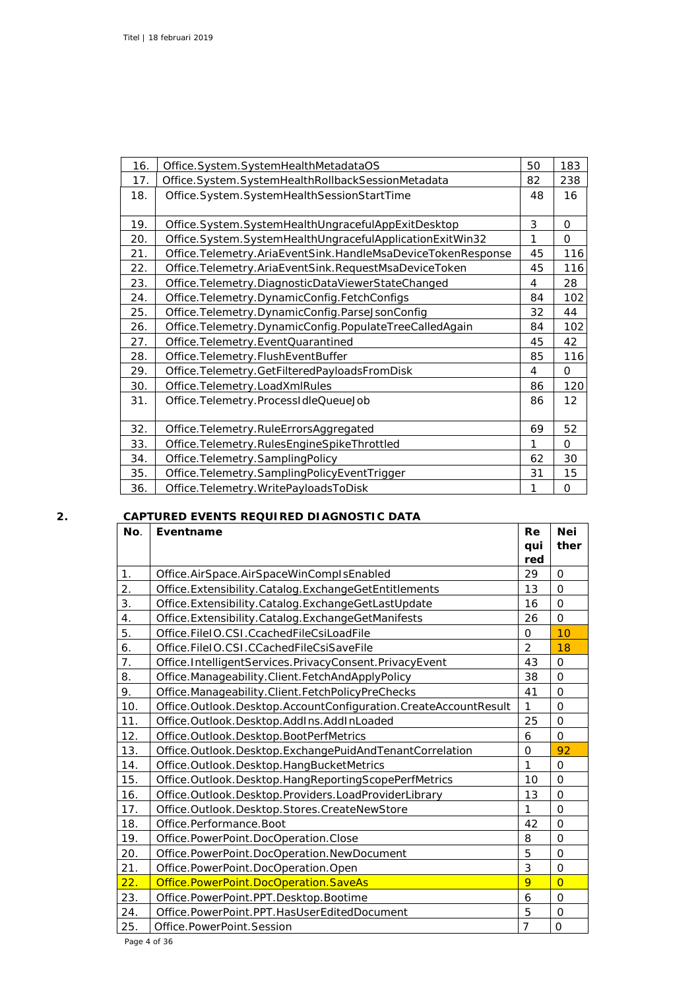| 16. | Office.System.SystemHealthMetadataOS                        | 50 | 183               |
|-----|-------------------------------------------------------------|----|-------------------|
| 17. | Office.System.SystemHealthRollbackSessionMetadata           | 82 | 238               |
| 18. | Office.System.SystemHealthSessionStartTime                  | 48 | 16                |
|     |                                                             |    |                   |
| 19. | Office.System.SystemHealthUngracefulAppExitDesktop          | 3  | $\Omega$          |
| 20. | Office.System.SystemHealthUngracefulApplicationExitWin32    | 1  | $\mathbf 0$       |
| 21. | Office.Telemetry.AriaEventSink.HandleMsaDeviceTokenResponse | 45 | 116               |
| 22. | Office. Telemetry. AriaEventSink. RequestMsaDeviceToken     | 45 | 116               |
| 23. | Office.Telemetry.DiagnosticDataViewerStateChanged           | 4  | 28                |
| 24. | Office.Telemetry.DynamicConfig.FetchConfigs                 | 84 | 102               |
| 25. | Office.Telemetry.DynamicConfig.ParseJsonConfig              | 32 | 44                |
| 26. | Office.Telemetry.DynamicConfig.PopulateTreeCalledAgain      | 84 | 102               |
| 27. | Office.Telemetry.EventQuarantined                           | 45 | 42                |
| 28. | Office.Telemetry.FlushEventBuffer                           | 85 | 116               |
| 29. | Office. Telemetry. GetFilteredPayloadsFromDisk              | 4  | $\Omega$          |
| 30. | Office.Telemetry.LoadXmlRules                               | 86 | 120               |
| 31. | Office.Telemetry.ProcessIdleQueueJob                        | 86 | $12 \overline{ }$ |
|     |                                                             |    |                   |
| 32. | Office. Telemetry. RuleErrorsAggregated                     | 69 | 52                |
| 33. | Office. Telemetry. RulesEngineSpikeThrottled                | 1  | $\Omega$          |
| 34. | Office.Telemetry.SamplingPolicy                             | 62 | 30                |
| 35. | Office.Telemetry.SamplingPolicyEventTrigger                 | 31 | 15                |
| 36. | Office.Telemetry.WritePayloadsToDisk                        | 1  | $\Omega$          |

## **2. CAPTURED EVENTS REQUIRED DIAGNOSTIC DATA**

| No.              | <b>Eventname</b>                                                | Re             | <b>Nei</b>     |
|------------------|-----------------------------------------------------------------|----------------|----------------|
|                  |                                                                 | qui            | ther           |
|                  |                                                                 | red            |                |
| $\mathbf{1}$ .   | Office.AirSpace.AirSpaceWinCompIsEnabled                        | 29             | $\mathbf 0$    |
| $\overline{2}$ . | Office.Extensibility.Catalog.ExchangeGetEntitlements            | 13             | $\mathbf 0$    |
| 3.               | Office.Extensibility.Catalog.ExchangeGetLastUpdate              | 16             | $\overline{0}$ |
| 4.               | Office.Extensibility.Catalog.ExchangeGetManifests               | 26             | $\mathbf 0$    |
| 5.               | Office.FileIO.CSI.CcachedFileCsiLoadFile                        | $\Omega$       | 10             |
| 6.               | Office.FileIO.CSI.CCachedFileCsiSaveFile                        | $\overline{2}$ | 18             |
| 7.               | Office.IntelligentServices.PrivacyConsent.PrivacyEvent          | 43             | $\mathbf 0$    |
| 8.               | Office.Manageability.Client.FetchAndApplyPolicy                 | 38             | $\mathbf 0$    |
| 9.               | Office.Manageability.Client.FetchPolicyPreChecks                | 41             | $\Omega$       |
| 10.              | Office.Outlook.Desktop.AccountConfiguration.CreateAccountResult | 1              | $\mathbf 0$    |
| 11.              | Office.Outlook.Desktop.AddIns.AddInLoaded                       | 25             | $\mathbf 0$    |
| 12.              | Office.Outlook.Desktop.BootPerfMetrics                          | 6              | $\Omega$       |
| 13.              | Office.Outlook.Desktop.ExchangePuidAndTenantCorrelation         | $\mathbf 0$    | 92             |
| 14.              | Office.Outlook.Desktop.HangBucketMetrics                        | 1              | $\mathbf 0$    |
| 15.              | Office.Outlook.Desktop.HangReportingScopePerfMetrics            | 10             | $\mathbf 0$    |
| 16.              | Office.Outlook.Desktop.Providers.LoadProviderLibrary            | 13             | $\mathbf 0$    |
| 17.              | Office.Outlook.Desktop.Stores.CreateNewStore                    | 1              | $\overline{0}$ |
| 18.              | Office.Performance.Boot                                         | 42             | $\mathbf 0$    |
| 19.              | Office.PowerPoint.DocOperation.Close                            | 8              | $\Omega$       |
| 20.              | Office.PowerPoint.DocOperation.NewDocument                      | 5              | $\Omega$       |
| 21.              | Office.PowerPoint.DocOperation.Open                             | 3              | $\overline{O}$ |
| 22.              | Office.PowerPoint.DocOperation.SaveAs                           | 9              | $\Omega$       |
| 23.              | Office.PowerPoint.PPT.Desktop.Bootime                           | 6              | $\mathbf 0$    |
| 24.              | Office.PowerPoint.PPT.HasUserEditedDocument                     | 5              | $\circ$        |
| 25.              | Office.PowerPoint.Session                                       | $\overline{7}$ | $\mathbf 0$    |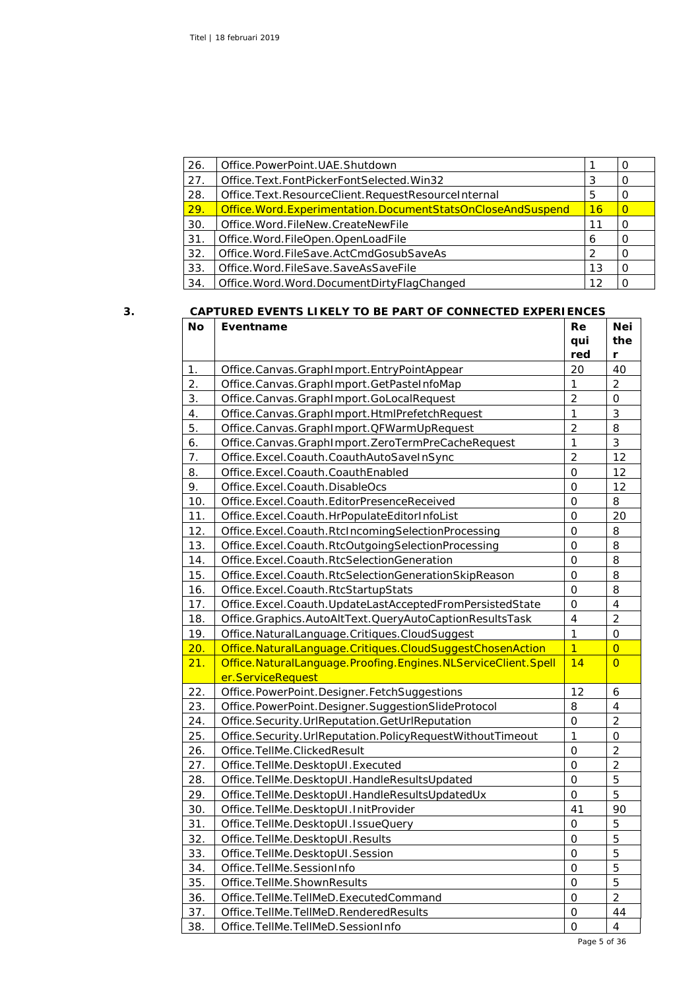| 26. | Office.PowerPoint.UAE.Shutdown                                |    |  |
|-----|---------------------------------------------------------------|----|--|
| 27. | Office.Text.FontPickerFontSelected.Win32                      |    |  |
| 28. | Office.Text.ResourceClient.RequestResourceInternal            | 5  |  |
| 29. | Office. Word. Experimentation. DocumentStatsOnCloseAndSuspend | 16 |  |
| 30. | Office. Word. FileNew. CreateNewFile                          | 11 |  |
| 31. | Office. Word. FileOpen. OpenLoadFile                          | 6  |  |
| 32. | Office. Word. FileSave. ActCmdGosubSaveAs                     |    |  |
| 33. | Office. Word. FileSave. SaveAsSaveFile                        | 13 |  |
| 34. | Office. Word. Word. Document Dirty Flag Changed               | 12 |  |

### **3. CAPTURED EVENTS LIKELY TO BE PART OF CONNECTED EXPERIENCES**

| No  | Eventname                                                     | Re                      | Nei            |
|-----|---------------------------------------------------------------|-------------------------|----------------|
|     |                                                               | qui<br>red              | the<br>r       |
| 1.  | Office.Canvas.GraphImport.EntryPointAppear                    | 20                      | 40             |
| 2.  | Office.Canvas.GraphImport.GetPasteInfoMap                     | 1                       | $\overline{2}$ |
| 3.  | Office.Canvas.GraphImport.GoLocalRequest                      | $\overline{c}$          | $\mathsf O$    |
| 4.  | Office.Canvas.GraphImport.HtmlPrefetchRequest                 | $\mathbf{1}$            | 3              |
| 5.  | Office.Canvas.GraphImport.QFWarmUpRequest                     | $\overline{2}$          | 8              |
| 6.  | Office.Canvas.GraphImport.ZeroTermPreCacheRequest             | $\mathbf{1}$            | 3              |
| 7.  | Office.Excel.Coauth.CoauthAutoSaveInSync                      | $\overline{2}$          | 12             |
| 8.  | Office.Excel.Coauth.CoauthEnabled                             | 0                       | 12             |
| 9.  | Office.Excel.Coauth.DisableOcs                                | 0                       | 12             |
| 10. | Office.Excel.Coauth.EditorPresenceReceived                    | 0                       | 8              |
| 11. | Office.Excel.Coauth.HrPopulateEditorInfoList                  | $\mathbf 0$             | 20             |
| 12. | Office.Excel.Coauth.RtcIncomingSelectionProcessing            | $\mathbf 0$             | 8              |
| 13. | Office.Excel.Coauth.RtcOutgoingSelectionProcessing            | 0                       | 8              |
| 14. | Office.Excel.Coauth.RtcSelectionGeneration                    | 0                       | 8              |
| 15. | Office.Excel.Coauth.RtcSelectionGenerationSkipReason          | 0                       | 8              |
| 16. | Office.Excel.Coauth.RtcStartupStats                           | $\mathbf 0$             | 8              |
| 17. | Office.Excel.Coauth.UpdateLastAcceptedFromPersistedState      | 0                       | 4              |
| 18. | Office.Graphics.AutoAltText.QueryAutoCaptionResultsTask       | $\overline{\mathbf{4}}$ | $\overline{2}$ |
| 19. | Office.NaturalLanguage.Critiques.CloudSuggest                 | $\mathbf{1}$            | 0              |
| 20. | Office.NaturalLanguage.Critiques.CloudSuggestChosenAction     | $\overline{1}$          | $\overline{O}$ |
| 21. | Office.NaturalLanguage.Proofing.Engines.NLServiceClient.Spell | 14                      | $\overline{0}$ |
|     | er.ServiceRequest                                             |                         |                |
| 22. | Office.PowerPoint.Designer.FetchSuggestions                   | 12                      | 6              |
| 23. | Office.PowerPoint.Designer.SuggestionSlideProtocol            | 8                       | 4              |
| 24. | Office.Security.UrlReputation.GetUrlReputation                | 0                       | $\overline{2}$ |
| 25. | Office.Security.UrlReputation.PolicyRequestWithoutTimeout     | $\mathbf{1}$            | $\mathbf 0$    |
| 26. | Office.TellMe.ClickedResult                                   | 0                       | $\overline{2}$ |
| 27. | Office.TellMe.DesktopUI.Executed                              | 0                       | $\overline{2}$ |
| 28. | Office.TellMe.DesktopUI.HandleResultsUpdated                  | 0                       | 5              |
| 29. | Office.TellMe.DesktopUI.HandleResultsUpdatedUx                | 0                       | 5              |
| 30. | Office.TellMe.DesktopUI.InitProvider                          | 41                      | 90             |
| 31. | Office.TellMe.DesktopUI.IssueQuery                            | 0                       | 5              |
| 32. | Office.TellMe.DesktopUI.Results                               | 0                       | 5              |
| 33. | Office.TellMe.DesktopUI.Session                               | 0                       | 5              |
| 34. | Office.TellMe.SessionInfo                                     | 0                       | 5              |
| 35. | Office.TellMe.ShownResults                                    | $\mathbf 0$             | 5              |
| 36. | Office.TellMe.TellMeD.ExecutedCommand                         | 0                       | $\overline{2}$ |
| 37. | Office.TellMe.TellMeD.RenderedResults                         | 0                       | 44             |
| 38. | Office.TellMe.TellMeD.SessionInfo                             | 0                       | 4              |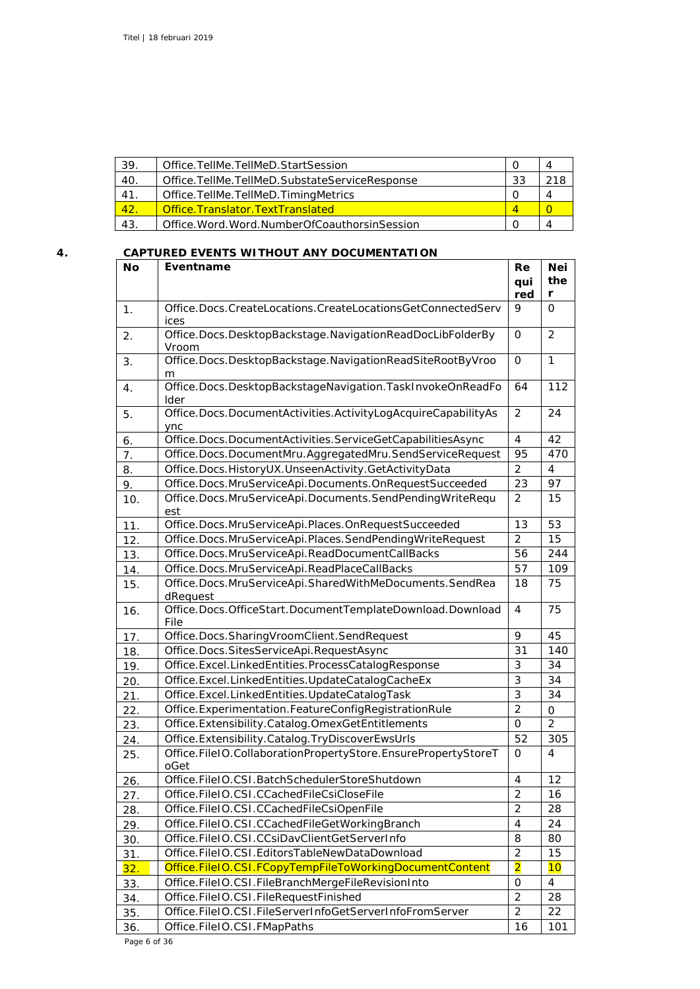| -39.            | Office.TellMe.TellMeD.StartSession             |    |  |
|-----------------|------------------------------------------------|----|--|
| 40.             | Office.TellMe.TellMeD.SubstateServiceResponse  | 33 |  |
| 41.             | Office.TellMe.TellMeD.TimingMetrics            |    |  |
| 42 <sub>1</sub> | Office Translator TextTranslated               |    |  |
| 43.             | Office. Word. Word. NumberOfCoauthorsinSession |    |  |

## **4. CAPTURED EVENTS WITHOUT ANY DOCUMENTATION**

| <b>No</b> | Eventname                                                             | Re             | <b>Nei</b>              |
|-----------|-----------------------------------------------------------------------|----------------|-------------------------|
|           |                                                                       |                | the                     |
|           |                                                                       | red            | r                       |
| 1.        | Office.Docs.CreateLocations.CreateLocationsGetConnectedServ<br>ices   | 9              | 0                       |
| 2.        | Office.Docs.DesktopBackstage.NavigationReadDocLibFolderBy<br>Vroom    | 0              | $\overline{2}$          |
| 3.        | Office.Docs.DesktopBackstage.NavigationReadSiteRootByVroo<br>m        | 0              | 1                       |
| 4.        | Office.Docs.DesktopBackstageNavigation.TaskInvokeOnReadFo<br>Ider     | 64             | 112                     |
| 5.        | Office.Docs.DocumentActivities.ActivityLogAcquireCapabilityAs<br>ync  | 2              | 24                      |
| 6.        | Office.Docs.DocumentActivities.ServiceGetCapabilitiesAsync            | 4              | 42                      |
| 7.        | Office.Docs.DocumentMru.AggregatedMru.SendServiceRequest              | 95             | 470                     |
| 8.        | Office.Docs.HistoryUX.UnseenActivity.GetActivityData                  | $\overline{2}$ | 4                       |
| 9.        | Office.Docs.MruServiceApi.Documents.OnRequestSucceeded                | 23             | 97                      |
| 10.       | Office.Docs.MruServiceApi.Documents.SendPendingWriteRequ<br>est       | $\overline{2}$ | 15                      |
| 11.       | Office.Docs.MruServiceApi.Places.OnRequestSucceeded                   | 13             | 53                      |
| 12.       | Office.Docs.MruServiceApi.Places.SendPendingWriteRequest              | $\overline{2}$ | 15                      |
| 13.       | Office.Docs.MruServiceApi.ReadDocumentCallBacks                       | 56             | 244                     |
| 14.       | Office.Docs.MruServiceApi.ReadPlaceCallBacks                          | 57             | 109                     |
| 15.       | Office.Docs.MruServiceApi.SharedWithMeDocuments.SendRea<br>dRequest   | 18             | 75                      |
| 16.       | Office.Docs.OfficeStart.DocumentTemplateDownload.Download<br>File     | 4              | 75                      |
| 17.       | Office.Docs.SharingVroomClient.SendRequest                            | 9              | 45                      |
| 18.       | Office.Docs.SitesServiceApi.RequestAsync                              | 31             | 140                     |
| 19.       | Office.Excel.LinkedEntities.ProcessCatalogResponse                    | 3              | 34                      |
| 20.       | Office.Excel.LinkedEntities.UpdateCatalogCacheEx                      | 3              | 34                      |
| 21.       | Office.Excel.LinkedEntities.UpdateCatalogTask                         | 3              | 34                      |
| 22.       | Office.Experimentation.FeatureConfigRegistrationRule                  | $\overline{a}$ | $\mathsf{O}$            |
| 23.       | Office.Extensibility.Catalog.OmexGetEntitlements                      | 0              | $\overline{2}$          |
| 24.       | Office.Extensibility.Catalog.TryDiscoverEwsUrls                       | 52             | 305                     |
| 25.       | Office.FileIO.CollaborationPropertyStore.EnsurePropertyStoreT<br>oGet | 0              | 4                       |
| 26.       | Office.FileIO.CSI.BatchSchedulerStoreShutdown                         | 4              | 12                      |
| 27.       | Office.FileIO.CSI.CCachedFileCsiCloseFile                             | $\overline{c}$ | 16                      |
| 28.       | Office.FileIO.CSI.CCachedFileCsiOpenFile                              | $\overline{2}$ | 28                      |
| 29.       | Office.FileIO.CSI.CCachedFileGetWorkingBranch                         | 4              | 24                      |
| 30.       | Office.FileIO.CSI.CCsiDavClientGetServerInfo                          | 8              | 80                      |
| 31.       | Office.FileIO.CSI.EditorsTableNewDataDownload                         | $\overline{2}$ | 15                      |
| 32.       | Office.FileIO.CSI.FCopyTempFileToWorkingDocumentContent               | $\overline{2}$ | 10                      |
| 33.       | Office.FileIO.CSI.FileBranchMergeFileRevisionInto                     | 0              | $\overline{\mathbf{4}}$ |
| 34.       | Office.FileIO.CSI.FileRequestFinished                                 | $\overline{c}$ | 28                      |
| 35.       | Office.FileIO.CSI.FileServerInfoGetServerInfoFromServer               | $\overline{c}$ | 22                      |
| 36.       | Office.FileIO.CSI.FMapPaths                                           | 16             | 101                     |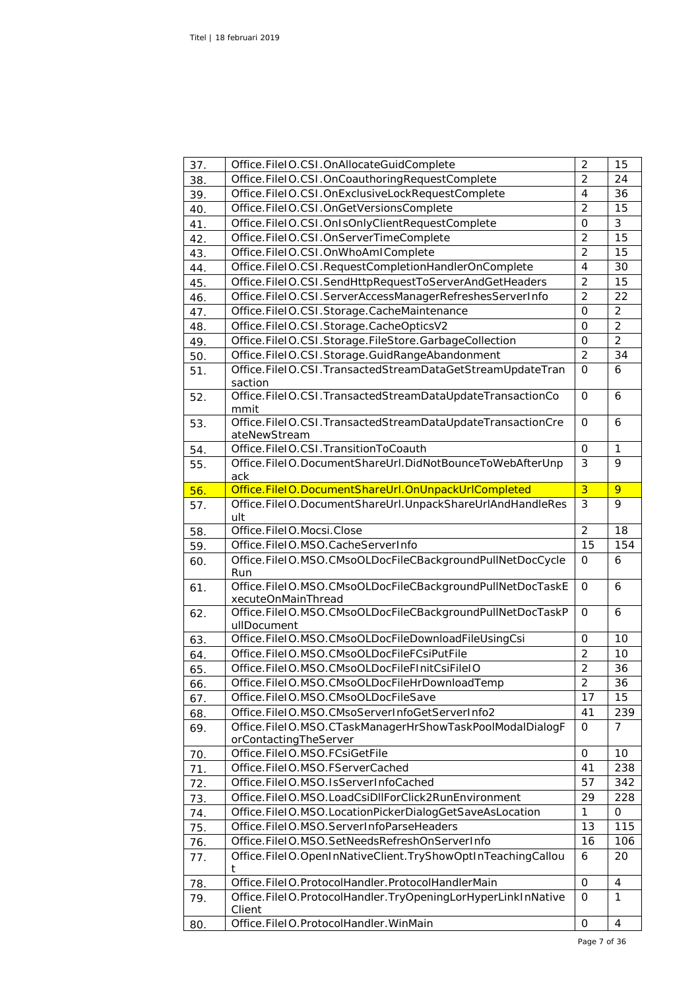| 37. | Office.FileIO.CSI.OnAllocateGuidComplete                                          | $\overline{2}$<br>$\overline{2}$ | 15             |
|-----|-----------------------------------------------------------------------------------|----------------------------------|----------------|
| 38. | Office.FileIO.CSI.OnCoauthoringRequestComplete                                    |                                  | 24             |
| 39. | Office.FileIO.CSI.OnExclusiveLockRequestComplete                                  | 4                                | 36             |
| 40. | Office.FileIO.CSI.OnGetVersionsComplete                                           | $\overline{2}$                   | 15             |
| 41. | Office.FileIO.CSI.OnIsOnlyClientRequestComplete                                   | $\mathbf{O}$                     | 3              |
| 42. | Office.FileIO.CSI.OnServerTimeComplete                                            | $\overline{2}$                   | 15             |
| 43. | Office.FileIO.CSI.OnWhoAmIComplete                                                | $\overline{2}$                   | 15             |
| 44. | Office.FileIO.CSI.RequestCompletionHandlerOnComplete                              | 4                                | 30             |
| 45. | Office.FileIO.CSI.SendHttpRequestToServerAndGetHeaders                            | $\overline{2}$                   | 15             |
| 46. | Office.FileIO.CSI.ServerAccessManagerRefreshesServerInfo                          | $\overline{2}$                   | 22             |
| 47. | Office.FileIO.CSI.Storage.CacheMaintenance                                        | $\Omega$                         | $\overline{2}$ |
| 48. | Office.FileIO.CSI.Storage.CacheOpticsV2                                           | $\mathbf{O}$                     | $\overline{2}$ |
| 49. | Office.FileIO.CSI.Storage.FileStore.GarbageCollection                             | $\mathbf 0$                      | $\overline{2}$ |
| 50. | Office.FileIO.CSI.Storage.GuidRangeAbandonment                                    | $\overline{2}$                   | 34             |
| 51. | Office.FileIO.CSI.TransactedStreamDataGetStreamUpdateTran<br>saction              | $\mathbf{O}$                     | 6              |
| 52. | Office.FileIO.CSI.TransactedStreamDataUpdateTransactionCo<br>mmit                 | $\mathbf{O}$                     | 6              |
| 53. | Office.FileIO.CSI.TransactedStreamDataUpdateTransactionCre<br>ateNewStream        | $\mathbf{O}$                     | 6              |
| 54. | Office.FileIO.CSI.TransitionToCoauth                                              | $\mathbf{O}$                     | $\mathbf{1}$   |
| 55. | Office.FileIO.DocumentShareUrl.DidNotBounceToWebAfterUnp<br>ack                   | 3                                | 9              |
| 56. | Office.FileIO.DocumentShareUrl.OnUnpackUrlCompleted                               | $\overline{3}$                   | 9              |
| 57. | Office.FileIO.DocumentShareUrl.UnpackShareUrlAndHandleRes<br>ult                  | 3                                | 9              |
| 58. | Office.FileIO.Mocsi.Close                                                         | $\overline{2}$                   | 18             |
| 59. | Office.FileIO.MSO.CacheServerInfo                                                 | 15                               | 154            |
| 60. | Office.FileIO.MSO.CMsoOLDocFileCBackgroundPullNetDocCycle<br>Run                  | 0                                | 6              |
| 61. | Office.FileIO.MSO.CMsoOLDocFileCBackgroundPullNetDocTaskE<br>xecuteOnMainThread   | O                                | 6              |
| 62. | Office.FileIO.MSO.CMsoOLDocFileCBackgroundPullNetDocTaskP<br>ullDocument          | 0                                | 6              |
| 63. | Office.FileIO.MSO.CMsoOLDocFileDownloadFileUsingCsi                               | $\mathbf{O}$                     | 10             |
| 64. | Office.FileIO.MSO.CMsoOLDocFileFCsiPutFile                                        | $\overline{2}$                   | 10             |
| 65. | Office.FileIO.MSO.CMsoOLDocFileFInitCsiFileIO                                     | $\overline{c}$                   | 36             |
| 66. | Office.FileIO.MSO.CMsoOLDocFileHrDownloadTemp                                     | $\overline{2}$                   | 36             |
| 67. | Office.FileIO.MSO.CMsoOLDocFileSave                                               | 17                               | 15             |
| 68. | Office.FileIO.MSO.CMsoServerInfoGetServerInfo2                                    | 41                               | 239            |
| 69. | Office.FileIO.MSO.CTaskManagerHrShowTaskPoolModalDialogF<br>orContactingTheServer | $\Omega$                         | $\overline{7}$ |
| 70. | Office.FileIO.MSO.FCsiGetFile                                                     | 0                                | 10             |
| 71. | Office.FileIO.MSO.FServerCached                                                   | 41                               | 238            |
| 72. | Office.FileIO.MSO.IsServerInfoCached                                              | 57                               | 342            |
| 73. | Office.FileIO.MSO.LoadCsiDllForClick2RunEnvironment                               | 29                               | 228            |
| 74. | Office.FileIO.MSO.LocationPickerDialogGetSaveAsLocation                           | $\mathbf{1}$                     | 0              |
| 75. | Office.FileIO.MSO.ServerInfoParseHeaders                                          | 13                               | 115            |
| 76. | Office.FileIO.MSO.SetNeedsRefreshOnServerInfo                                     | 16                               | 106            |
| 77. | Office.FileIO.OpenInNativeClient.TryShowOptInTeachingCallou<br>t                  | 6                                | 20             |
| 78. |                                                                                   |                                  |                |
|     | Office.FileIO.ProtocolHandler.ProtocolHandlerMain                                 | $\mathbf{O}$                     | 4              |
| 79. | Office.FileIO.ProtocolHandler.TryOpeningLorHyperLinkInNative                      | $\mathbf{O}$                     | 1              |
| 80. | Client<br>Office.FileIO.ProtocolHandler.WinMain                                   | 0                                | 4              |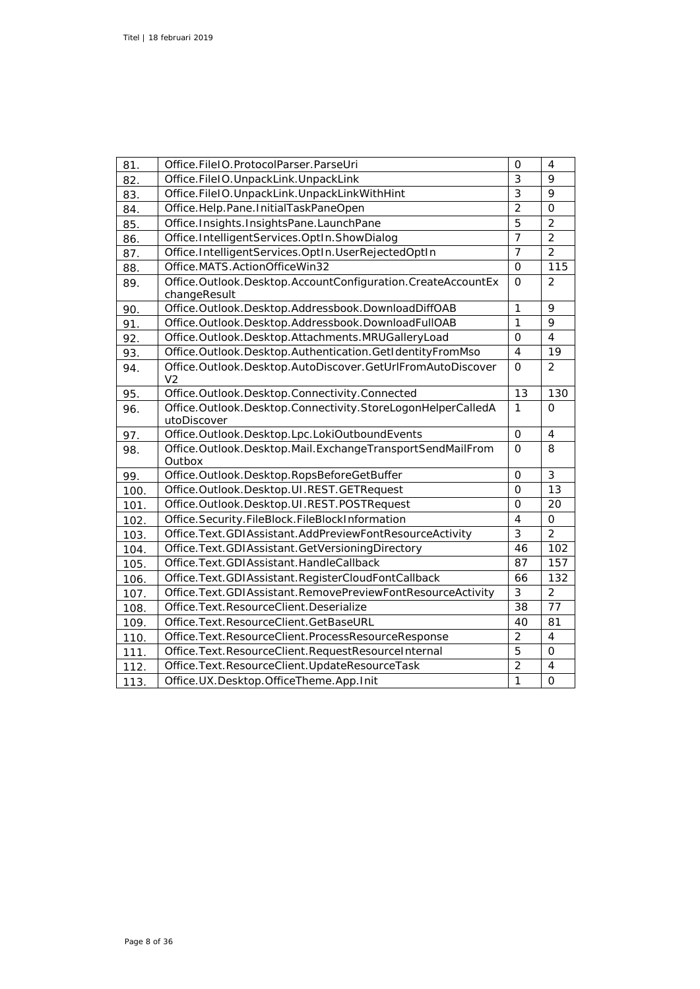| 81.  | Office.FileIO.ProtocolParser.ParseUri                                        | 0              | 4                        |
|------|------------------------------------------------------------------------------|----------------|--------------------------|
| 82.  | Office.FileIO.UnpackLink.UnpackLink                                          | 3              | 9                        |
| 83.  | Office.FileIO.UnpackLink.UnpackLinkWithHint                                  | $\overline{3}$ | 9                        |
| 84.  | Office.Help.Pane.InitialTaskPaneOpen                                         | $\overline{2}$ | $\mathbf 0$              |
| 85.  | Office.Insights.InsightsPane.LaunchPane                                      | 5              | $\overline{2}$           |
| 86.  | Office.IntelligentServices.OptIn.ShowDialog                                  | $\overline{7}$ | $\overline{2}$           |
| 87.  | Office.IntelligentServices.OptIn.UserRejectedOptIn                           | $\overline{7}$ | $\overline{2}$           |
| 88.  | Office.MATS.ActionOfficeWin32                                                | $\mathbf 0$    | 115                      |
| 89.  | Office.Outlook.Desktop.AccountConfiguration.CreateAccountEx<br>changeResult  | $\Omega$       | $\overline{2}$           |
| 90.  | Office.Outlook.Desktop.Addressbook.DownloadDiffOAB                           | $\mathbf{1}$   | 9                        |
| 91.  | Office.Outlook.Desktop.Addressbook.DownloadFullOAB                           | $\mathbf{1}$   | 9                        |
| 92.  | Office.Outlook.Desktop.Attachments.MRUGalleryLoad                            | 0              | $\overline{4}$           |
| 93.  | Office.Outlook.Desktop.Authentication.GetIdentityFromMso                     | 4              | 19                       |
| 94.  | Office.Outlook.Desktop.AutoDiscover.GetUrlFromAutoDiscover<br>V <sub>2</sub> | $\mathbf 0$    | 2                        |
| 95.  | Office.Outlook.Desktop.Connectivity.Connected                                | 13             | 130                      |
| 96.  | Office.Outlook.Desktop.Connectivity.StoreLogonHelperCalledA<br>utoDiscover   | $\mathbf{1}$   | $\Omega$                 |
| 97.  | Office.Outlook.Desktop.Lpc.LokiOutboundEvents                                | $\Omega$       | $\overline{\mathcal{L}}$ |
| 98.  | Office.Outlook.Desktop.Mail.ExchangeTransportSendMailFrom<br>Outbox          | $\Omega$       | 8                        |
| 99.  | Office.Outlook.Desktop.RopsBeforeGetBuffer                                   | $\Omega$       | 3                        |
| 100. | Office.Outlook.Desktop.UI.REST.GETRequest                                    | 0              | 13                       |
| 101. | Office.Outlook.Desktop.UI.REST.POSTRequest                                   | 0              | 20                       |
| 102. | Office.Security.FileBlock.FileBlockInformation                               | $\overline{4}$ | $\Omega$                 |
| 103. | Office.Text.GDIAssistant.AddPreviewFontResourceActivity                      | 3              | $\overline{2}$           |
| 104. | Office.Text.GDIAssistant.GetVersioningDirectory                              | 46             | 102                      |
| 105. | Office.Text.GDIAssistant.HandleCallback                                      | 87             | 157                      |
| 106. | Office.Text.GDIAssistant.RegisterCloudFontCallback                           | 66             | 132                      |
| 107. | Office.Text.GDIAssistant.RemovePreviewFontResourceActivity                   | 3              | $\overline{2}$           |
| 108. | Office.Text.ResourceClient.Deserialize                                       | 38             | 77                       |
| 109. | Office.Text.ResourceClient.GetBaseURL                                        | 40             | 81                       |
| 110. | Office.Text.ResourceClient.ProcessResourceResponse                           | $\overline{2}$ | $\overline{4}$           |
| 111. | Office.Text.ResourceClient.RequestResourceInternal                           | 5              | $\mathsf{O}$             |
| 112. | Office.Text.ResourceClient.UpdateResourceTask                                | $\overline{2}$ | $\overline{4}$           |
| 113. | Office.UX.Desktop.OfficeTheme.App.Init                                       | $\mathbf{1}$   | $\mathbf{O}$             |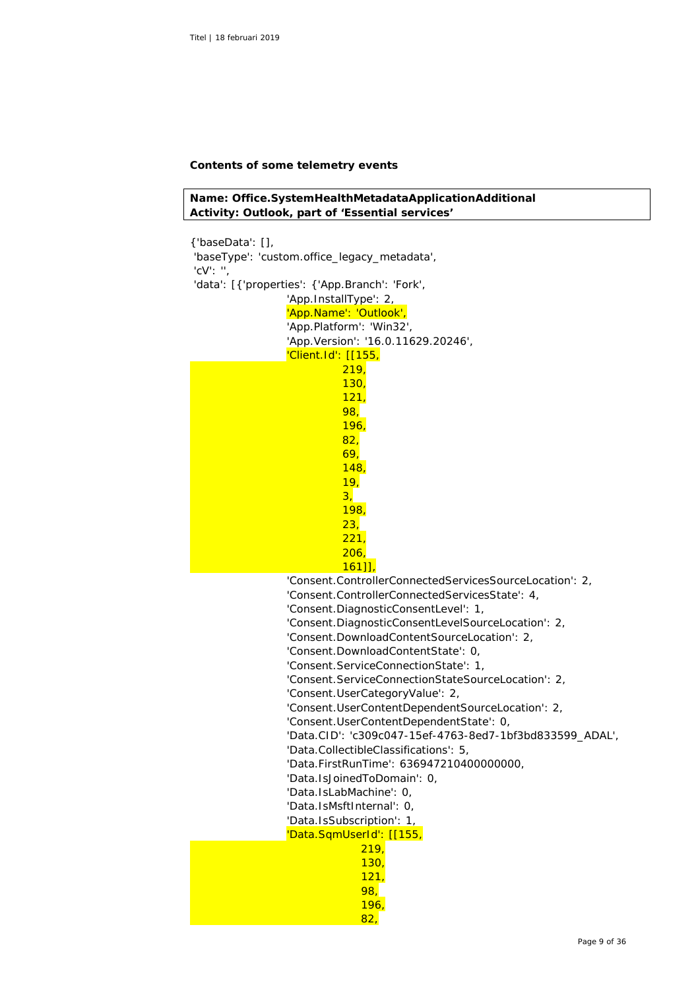### **Contents of some telemetry events**

```
Name: Office.SystemHealthMetadataApplicationAdditional
Activity: Outlook, part of 'Essential services'
```
{'baseData': [], 'baseType': 'custom.office\_legacy\_metadata', 'cV': '', 'data': [{'properties': {'App.Branch': 'Fork', 'App.InstallType': 2, 'App.Name': 'Outlook', 'App.Platform': 'Win32', 'App.Version': '16.0.11629.20246', 'Client.Id': [[155, 219, 130, 121, 98, 196, 82, 69, 148, 19, 3, 198,  $23,$  221, 206, 161]], 'Consent.ControllerConnectedServicesSourceLocation': 2, 'Consent.ControllerConnectedServicesState': 4, 'Consent.DiagnosticConsentLevel': 1, 'Consent.DiagnosticConsentLevelSourceLocation': 2, 'Consent.DownloadContentSourceLocation': 2, 'Consent.DownloadContentState': 0, 'Consent.ServiceConnectionState': 1, 'Consent.ServiceConnectionStateSourceLocation': 2, 'Consent.UserCategoryValue': 2, 'Consent.UserContentDependentSourceLocation': 2, 'Consent.UserContentDependentState': 0, 'Data.CID': 'c309c047-15ef-4763-8ed7-1bf3bd833599\_ADAL', 'Data.CollectibleClassifications': 5, 'Data.FirstRunTime': 636947210400000000, 'Data.IsJoinedToDomain': 0, 'Data.IsLabMachine': 0, 'Data.IsMsftInternal': 0, 'Data.IsSubscription': 1, 'Data.SqmUserId': [[155, 219, 130, 121, 98, 196, 82,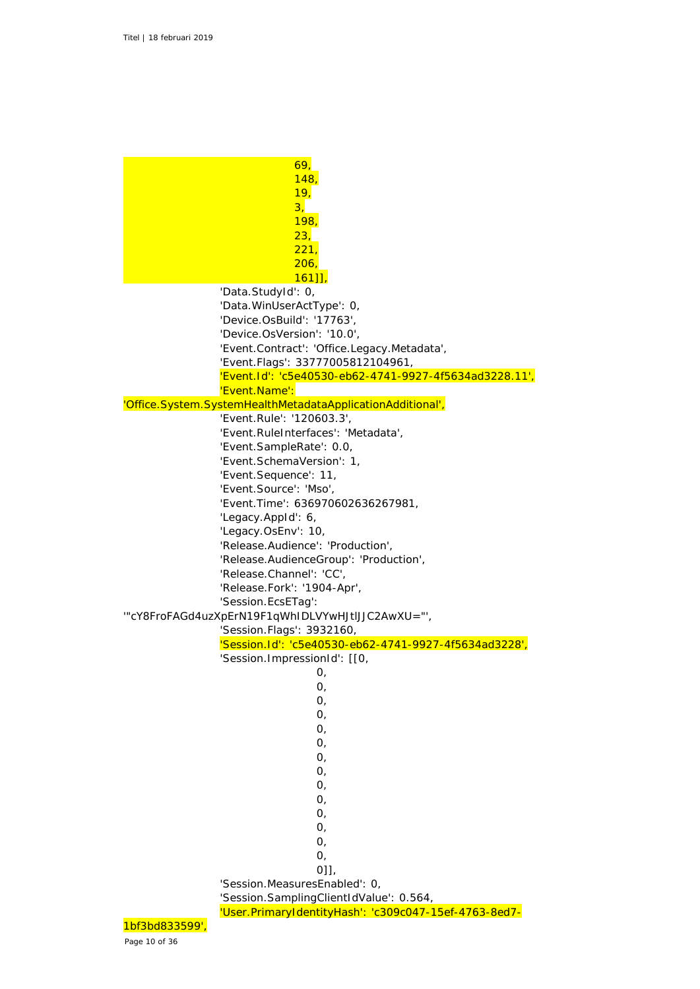<u>69, and the second contract of the second contract of</u> 148, 19, 3, 198,  $23,$ 221, 206, 161]], 'Data.StudyId': 0, 'Data.WinUserActType': 0, 'Device.OsBuild': '17763', 'Device.OsVersion': '10.0', 'Event.Contract': 'Office.Legacy.Metadata', 'Event.Flags': 33777005812104961, 'Event.Id': 'c5e40530-eb62-4741-9927-4f5634ad3228.11', 'Event.Name': 'Office.System.SystemHealthMetadataApplicationAdditional', 'Event.Rule': '120603.3', 'Event.RuleInterfaces': 'Metadata', 'Event.SampleRate': 0.0, 'Event.SchemaVersion': 1, 'Event.Sequence': 11, 'Event.Source': 'Mso', 'Event.Time': 636970602636267981, 'Legacy.AppId': 6, 'Legacy.OsEnv': 10, 'Release.Audience': 'Production', 'Release.AudienceGroup': 'Production', 'Release.Channel': 'CC', 'Release.Fork': '1904-Apr', 'Session.EcsETag': '"cY8FroFAGd4uzXpErN19F1qWhIDLVYwHJtlJJC2AwXU="', 'Session.Flags': 3932160, 'Session.Id': 'c5e40530-eb62-4741-9927-4f5634ad3228', 'Session.ImpressionId': [[0,  $\overline{O}$ ,  $\overline{O}$ ,  $\overline{O}$ , 0,  $\overline{O}$ .  $O<sub>1</sub>$ 0, 0,  $\Omega$ . 0, 0, 0, 0,  $\overline{O}$ ,  $[0]$  'Session.MeasuresEnabled': 0, 'Session.SamplingClientIdValue': 0.564, 'User.PrimaryIdentityHash': 'c309c047-15ef-4763-8ed7- 1bf3bd833599',

Page 10 of 36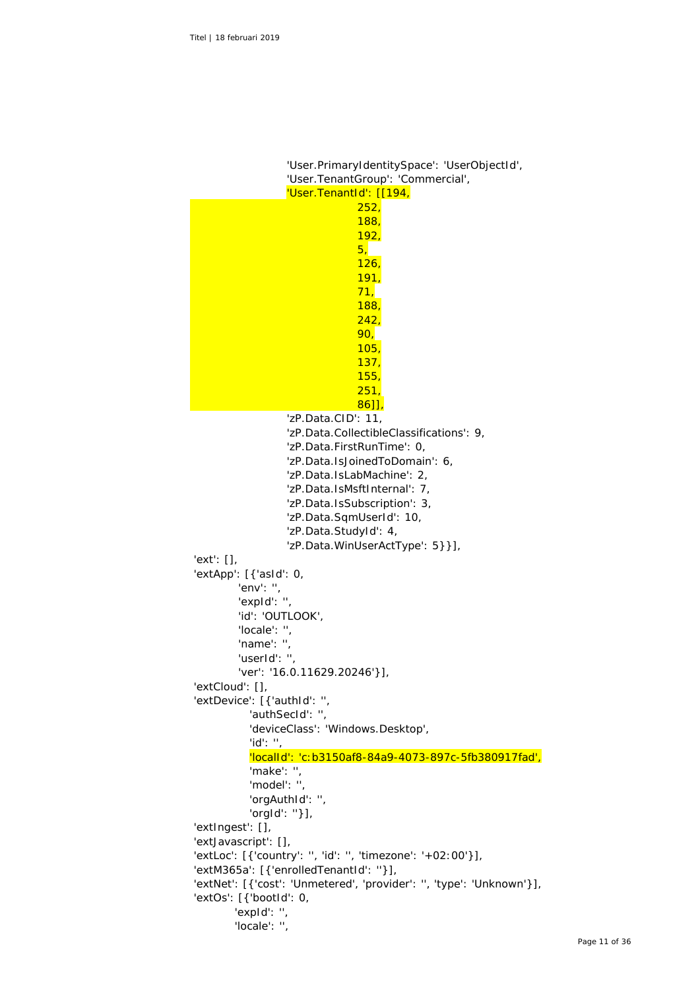```
 'User.TenantGroup': 'Commercial',
                    'User.TenantId': [[194,
                                  252,
                                  188,
                                 192,
                                 5,
                                 126,
                                 191,
                                 71,
                                 188,
                                 242,
                                 90,
                                 105,
                                 137,
                                 155,
                                 251,
                                 86]],
                    'zP.Data.CID': 11,
                    'zP.Data.CollectibleClassifications': 9,
                    'zP.Data.FirstRunTime': 0,
                    'zP.Data.IsJoinedToDomain': 6,
                    'zP.Data.IsLabMachine': 2,
                    'zP.Data.IsMsftInternal': 7,
                   'zP.Data.IsSubscription': 3,
                   'zP.Data.SqmUserId': 10,
                    'zP.Data.StudyId': 4,
                   'zP.Data.WinUserActType': 5}}],
'ext': [],
'extApp': [{'asId': 0,
          'env': '',
          'expId': '',
          'id': 'OUTLOOK',
          'locale': '',
         'name': "
          'userId': '',
          'ver': '16.0.11629.20246'}],
'extCloud': [],
'extDevice': [{'authId': '',
            'authSecId': '',
            'deviceClass': 'Windows.Desktop',
            'id': '',
            'localId': 'c:b3150af8-84a9-4073-897c-5fb380917fad',
            'make': '',
            'model': '',
            'orgAuthId': '',
            'orgId': ''}],
'extIngest': [],
'extJavascript': [],
'extLoc': [{'country': '', 'id': '', 'timezone': '+02:00'}],
'extM365a': [{'enrolledTenantId': ''}],
'extNet': [{'cost': 'Unmetered', 'provider': '', 'type': 'Unknown'}],
'extOs': [{'bootId': 0,
         'expId': '',
         'locale': '',
```
# 'User.PrimaryIdentitySpace': 'UserObjectId',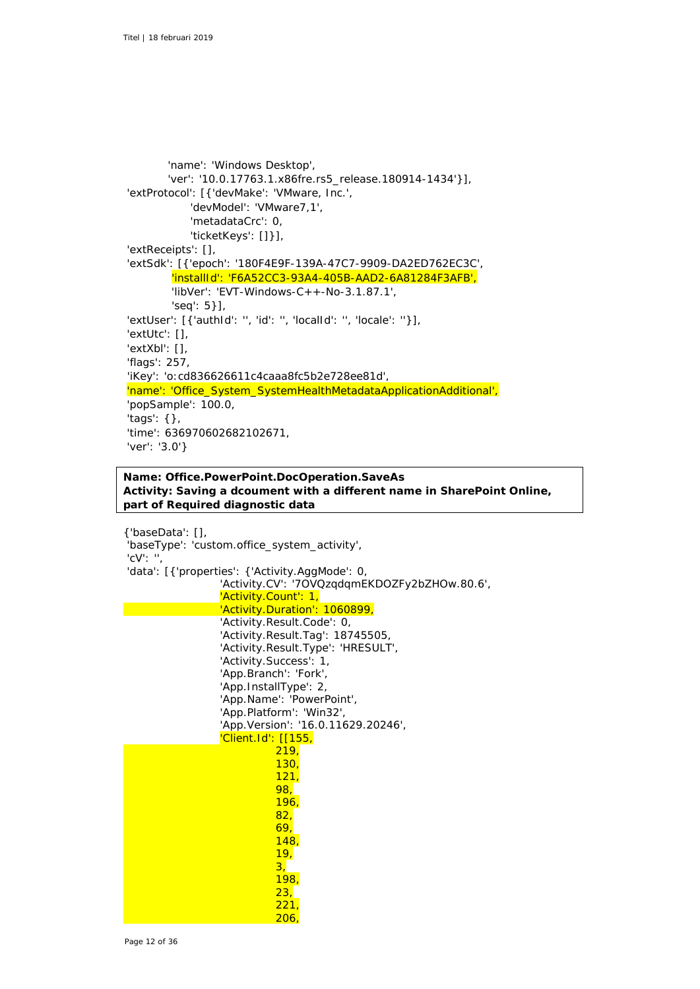```
 'name': 'Windows Desktop',
        'ver': '10.0.17763.1.x86fre.rs5_release.180914-1434'}],
'extProtocol': [{'devMake': 'VMware, Inc.',
             'devModel': 'VMware7,1',
            'metadataCrc': 0,
            'ticketKeys': []}],
'extReceipts': [],
'extSdk': [{'epoch': '180F4E9F-139A-47C7-9909-DA2ED762EC3C',
         'installId': 'F6A52CC3-93A4-405B-AAD2-6A81284F3AFB',
         'libVer': 'EVT-Windows-C++-No-3.1.87.1',
         'seq': 5}],
'extUser': [{'authId': '', 'id': '', 'localId': '', 'locale': ''}],
'extUtc': [],
'extXbl': [],
'flags': 257,
'iKey': 'o:cd836626611c4caaa8fc5b2e728ee81d',
'name': 'Office_System_SystemHealthMetadataApplicationAdditional',
'popSample': 100.0,
'tags': {},
'time': 636970602682102671,
'ver': '3.0'}
```
### **Name: Office.PowerPoint.DocOperation.SaveAs Activity: Saving a dcoument with a different name in SharePoint Online, part of Required diagnostic data**

{'baseData': [], 'baseType': 'custom.office\_system\_activity', 'cV': '', 'data': [{'properties': {'Activity.AggMode': 0, 'Activity.CV': '7OVQzqdqmEKDOZFy2bZHOw.80.6', 'Activity.Count': 1, 'Activity.Duration': 1060899, 'Activity.Result.Code': 0, 'Activity.Result.Tag': 18745505, 'Activity.Result.Type': 'HRESULT', 'Activity.Success': 1, 'App.Branch': 'Fork', 'App.InstallType': 2, 'App.Name': 'PowerPoint', 'App.Platform': 'Win32', 'App.Version': '16.0.11629.20246', 'Client.Id': [[155, 219, 130, 121, 98, 196, 82, 69, 148, 19,  $\sim$  3,  $\sim$  3,  $\sim$  3,  $\sim$  3,  $\sim$ 198, 23, 221, 206,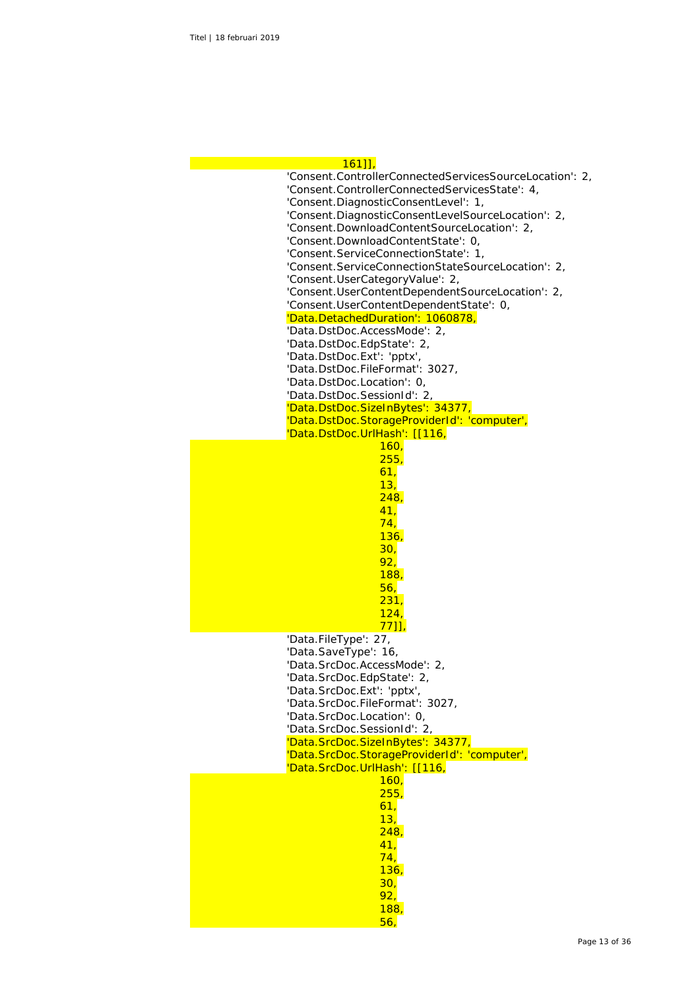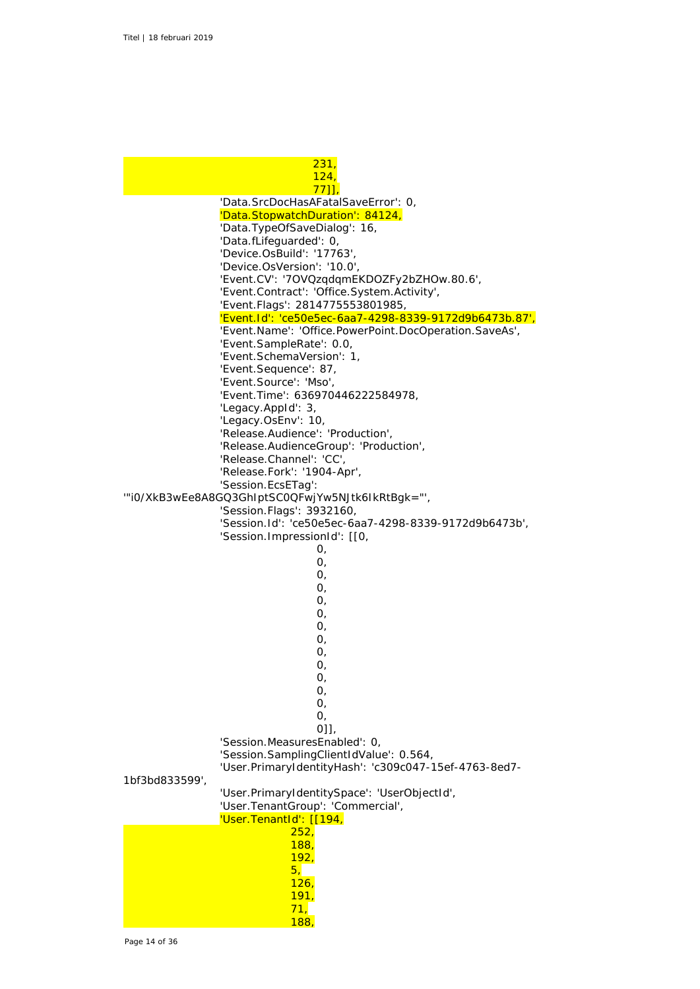$\frac{231}{124}$  $124$ ,  $124$ ,  $124$ ,  $124$ ,  $124$ ,  $124$ ,  $124$ ,  $124$ ,  $124$ ,  $124$ ,  $124$ ,  $124$ ,  $124$ ,  $124$ ,  $124$ ,  $124$ ,  $124$ ,  $124$ ,  $124$ ,  $124$ ,  $124$ ,  $124$ ,  $124$ ,  $124$ ,  $124$ ,  $124$ ,  $124$ ,  $124$ ,  $124$ ,  $124$ ,  $124$ ,  $124$ 77]], 'Data.SrcDocHasAFatalSaveError': 0, 'Data.StopwatchDuration': 84124, 'Data.TypeOfSaveDialog': 16, 'Data.fLifeguarded': 0, 'Device.OsBuild': '17763', 'Device.OsVersion': '10.0', 'Event.CV': '7OVQzqdqmEKDOZFy2bZHOw.80.6', 'Event.Contract': 'Office.System.Activity', 'Event.Flags': 2814775553801985, 'Event.Id': 'ce50e5ec-6aa7-4298-8339-9172d9b6473b.87', 'Event.Name': 'Office.PowerPoint.DocOperation.SaveAs', 'Event.SampleRate': 0.0, 'Event.SchemaVersion': 1, 'Event.Sequence': 87, 'Event.Source': 'Mso', 'Event.Time': 636970446222584978, 'Legacy.AppId': 3, 'Legacy.OsEnv': 10, 'Release.Audience': 'Production', 'Release.AudienceGroup': 'Production', 'Release.Channel': 'CC', 'Release.Fork': '1904-Apr', 'Session.EcsETag': '"i0/XkB3wEe8A8GQ3GhIptSC0QFwjYw5NJtk6IkRtBgk="', 'Session.Flags': 3932160, 'Session.Id': 'ce50e5ec-6aa7-4298-8339-9172d9b6473b', 'Session.ImpressionId': [[0,  $\overline{O}$ ,  $\overline{O}$ ,  $\overline{O}$ , 0,  $\Omega$ .  $\overline{O}$ ,  $\overline{O}$ , 0, 0,  $0, 0, 0$  $\overline{O}$ ,  $\overline{O}$ ,  $\overline{O}$ .  $\Omega$ . 0]], 'Session.MeasuresEnabled': 0, 'Session.SamplingClientIdValue': 0.564, 'User.PrimaryIdentityHash': 'c309c047-15ef-4763-8ed7- 1bf3bd833599', 'User.PrimaryIdentitySpace': 'UserObjectId', 'User.TenantGroup': 'Commercial', 'User.TenantId': [[194, 252, 188,  $\frac{192}{5}$  $5,$   $5,$ 126, 191, 71, 188,

Page 14 of 36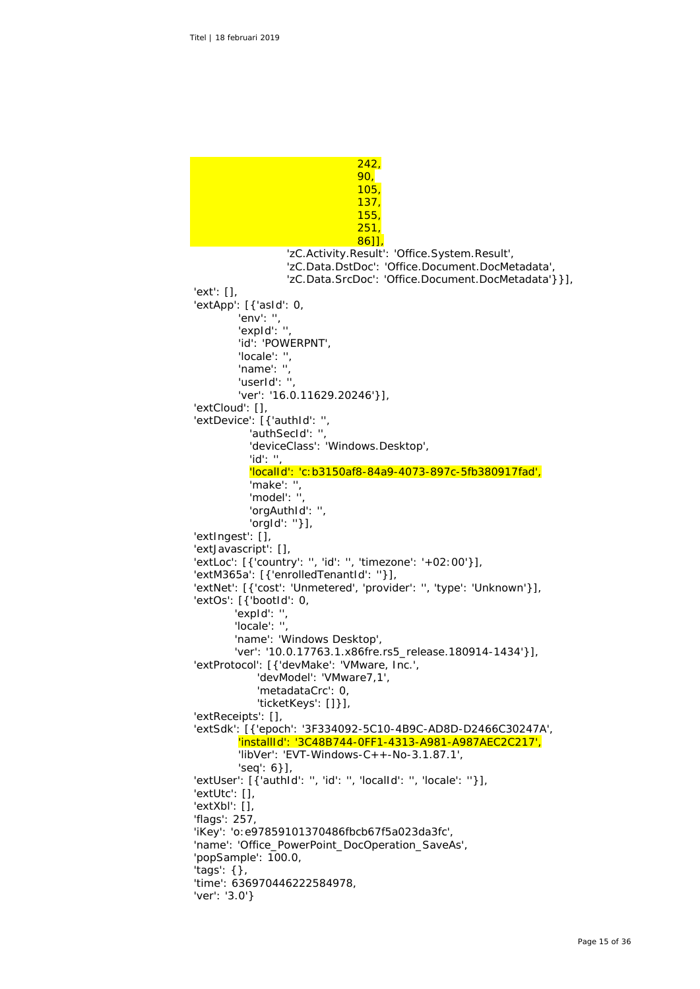```
 242,
                                90,
                                105,
                                137,
                                 155,
                                 251,
                                86]],
                   'zC.Activity.Result': 'Office.System.Result',
                   'zC.Data.DstDoc': 'Office.Document.DocMetadata',
                   'zC.Data.SrcDoc': 'Office.Document.DocMetadata'}}],
'ext': [],
'extApp': [{'asId': 0,
         'env: "
         'expId': "
          'id': 'POWERPNT',
          'locale': '',
         'name': "
         'userId': "
          'ver': '16.0.11629.20246'}],
'extCloud': [],
'extDevice': [{'authId': '',
            'authSecId': '',
            'deviceClass': 'Windows.Desktop',
            'id': '',
            'localId': 'c:b3150af8-84a9-4073-897c-5fb380917fad',
           'make': "
           'model': "
            'orgAuthId': '',
            'orgId': ''}],
'extIngest': [],
'extJavascript': [],
'extLoc': [{'country': '', 'id': '', 'timezone': '+02:00'}],
'extM365a': [{'enrolledTenantId': ''}],
'extNet': [{'cost': 'Unmetered', 'provider': '', 'type': 'Unknown'}],
'extOs': [{'bootId': 0,
 'expId': '',
 'locale': '',
         'name': 'Windows Desktop',
         'ver': '10.0.17763.1.x86fre.rs5_release.180914-1434'}],
'extProtocol': [{'devMake': 'VMware, Inc.',
             'devModel': 'VMware7,1',
             'metadataCrc': 0,
             'ticketKeys': []}],
'extReceipts': [],
'extSdk': [{'epoch': '3F334092-5C10-4B9C-AD8D-D2466C30247A',
          'installId': '3C48B744-0FF1-4313-A981-A987AEC2C217',
          'libVer': 'EVT-Windows-C++-No-3.1.87.1',
          'seq': 6}],
'extUser': [{'authId': '', 'id': '', 'localId': '', 'locale': ''}],
'extUtc': [],
'extXbl': [],
'flags': 257,
'iKey': 'o:e97859101370486fbcb67f5a023da3fc',
'name': 'Office_PowerPoint_DocOperation_SaveAs',
'popSample': 100.0,
'tags': {},
'time': 636970446222584978,
'ver': '3.0'}
```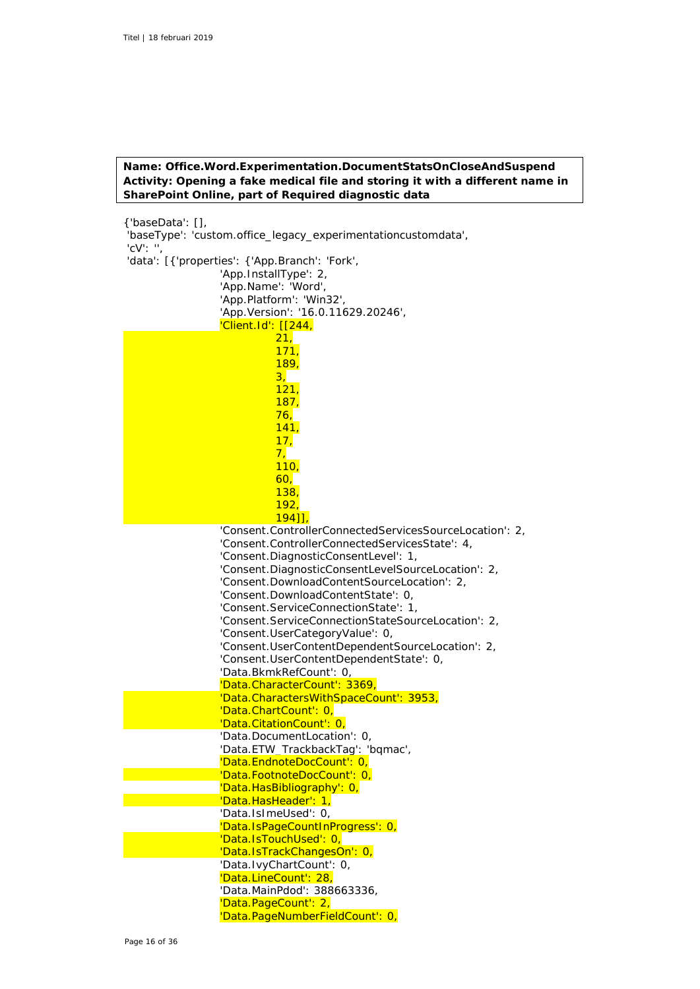### **Name: Office.Word.Experimentation.DocumentStatsOnCloseAndSuspend Activity: Opening a fake medical file and storing it with a different name in SharePoint Online, part of Required diagnostic data**

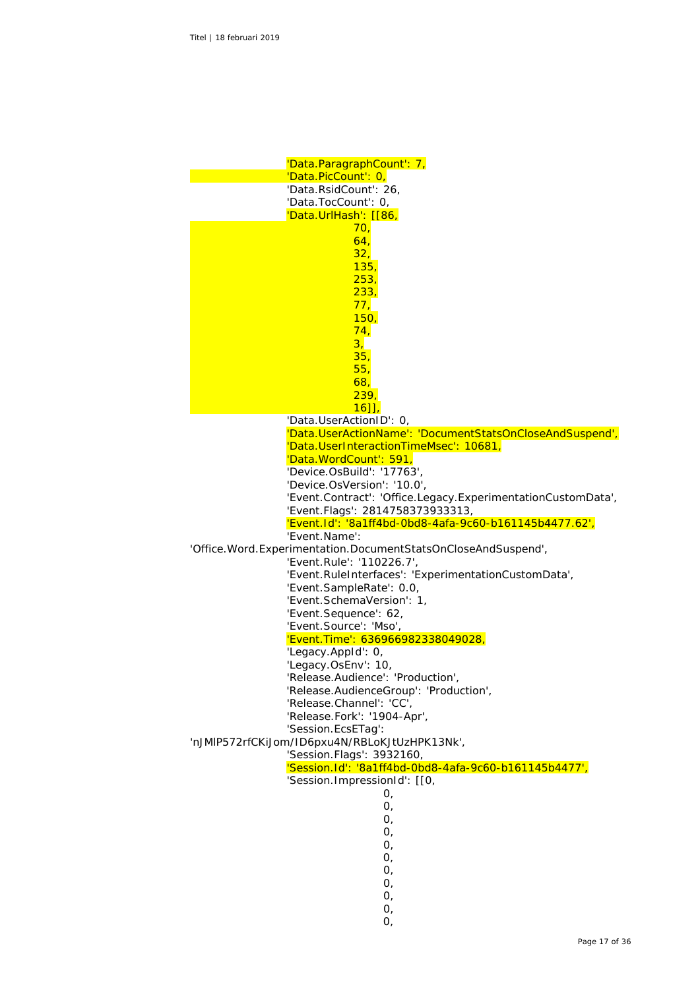

 $\overline{O}$ ,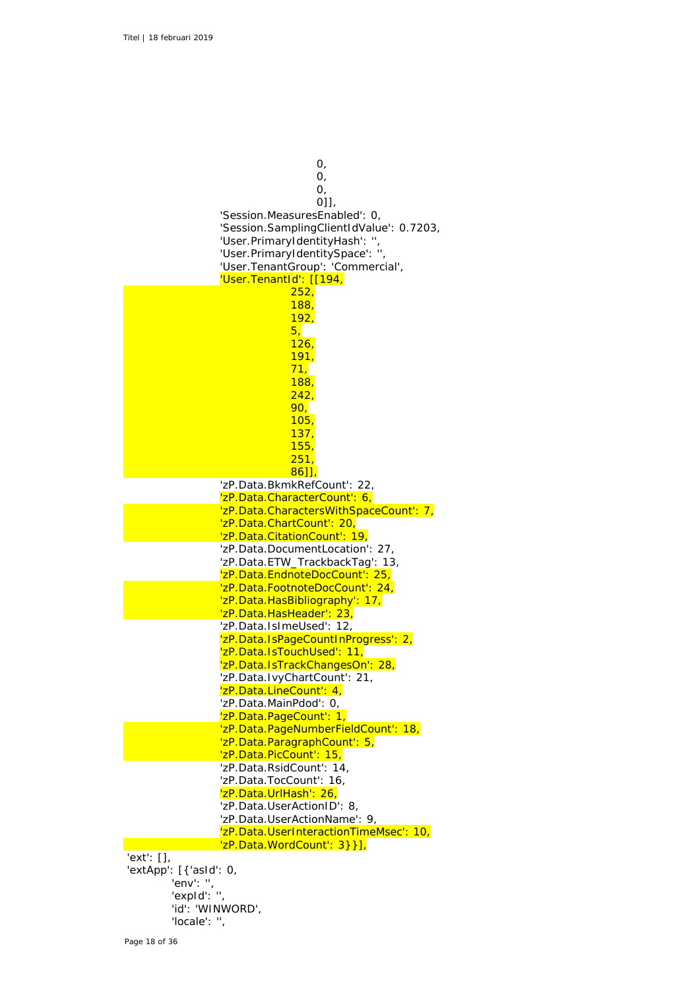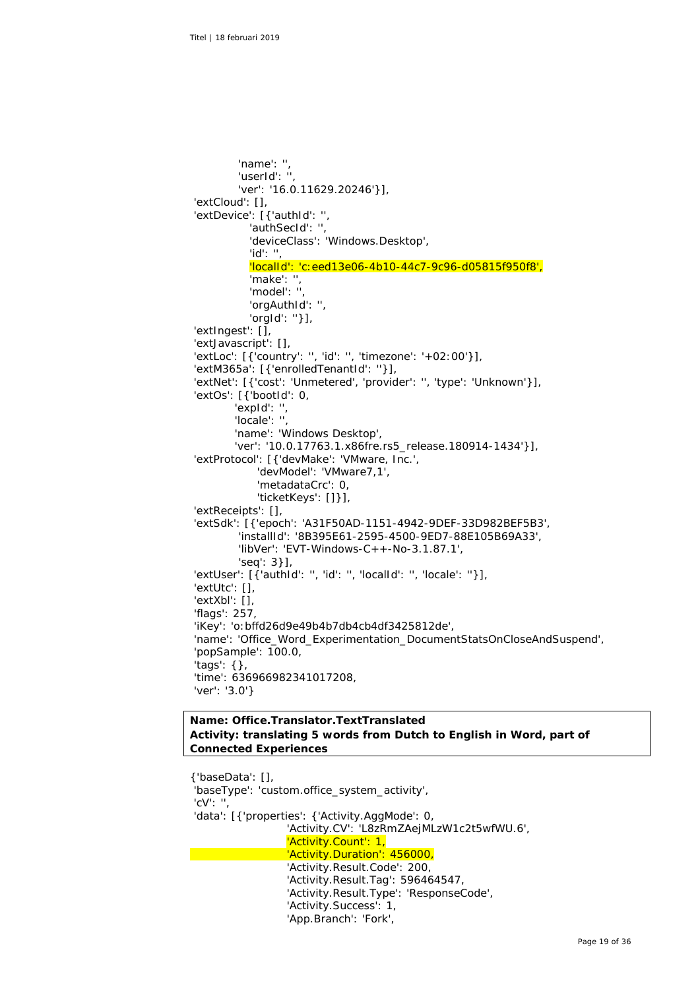```
'name': "
        'userId': "
         'ver': '16.0.11629.20246'}],
'extCloud': [],
'extDevice': [{'authId': "
           'authSecId': '',
            'deviceClass': 'Windows.Desktop',
            'id': '',
            'localId': 'c:eed13e06-4b10-44c7-9c96-d05815f950f8',
           'make': "
           'model': '',
           'orgAuthId': '',
           'orgId': ''}],
'extIngest': [],
'extJavascript': [],
'extLoc': [{'country': '', 'id': '', 'timezone': '+02:00'}],
'extM365a': [{'enrolledTenantId': ''}],
'extNet': [{'cost': 'Unmetered', 'provider': '', 'type': 'Unknown'}],
'extOs': [{'bootId': 0,
        'expId': "
         'locale': '',
         'name': 'Windows Desktop',
         'ver': '10.0.17763.1.x86fre.rs5_release.180914-1434'}],
'extProtocol': [{'devMake': 'VMware, Inc.',
             'devModel': 'VMware7,1',
             'metadataCrc': 0,
             'ticketKeys': []}],
'extReceipts': [],
'extSdk': [{'epoch': 'A31F50AD-1151-4942-9DEF-33D982BEF5B3',
         'installId': '8B395E61-2595-4500-9ED7-88E105B69A33',
         'libVer': 'EVT-Windows-C++-No-3.1.87.1',
         'seq': 3}],
'extUser': [{'authId': '', 'id': '', 'localId': '', 'locale': ''}],
'extUtc': [],
'extXbl': [1,
'flags': 257,
'iKey': 'o:bffd26d9e49b4b7db4cb4df3425812de',
'name': 'Office_Word_Experimentation_DocumentStatsOnCloseAndSuspend',
'popSample': 100.0,
'tags': {},
'time': 636966982341017208,
'ver': '3.0'}
```
### **Name: Office.Translator.TextTranslated Activity: translating 5 words from Dutch to English in Word, part of Connected Experiences**

{'baseData': [], 'baseType': 'custom.office\_system\_activity',  $"cV':$ 'data': [{'properties': {'Activity.AggMode': 0, 'Activity.CV': 'L8zRmZAejMLzW1c2t5wfWU.6', 'Activity.Count': 1, 'Activity.Duration': 456000, 'Activity.Result.Code': 200, 'Activity.Result.Tag': 596464547, 'Activity.Result.Type': 'ResponseCode', 'Activity.Success': 1, 'App.Branch': 'Fork',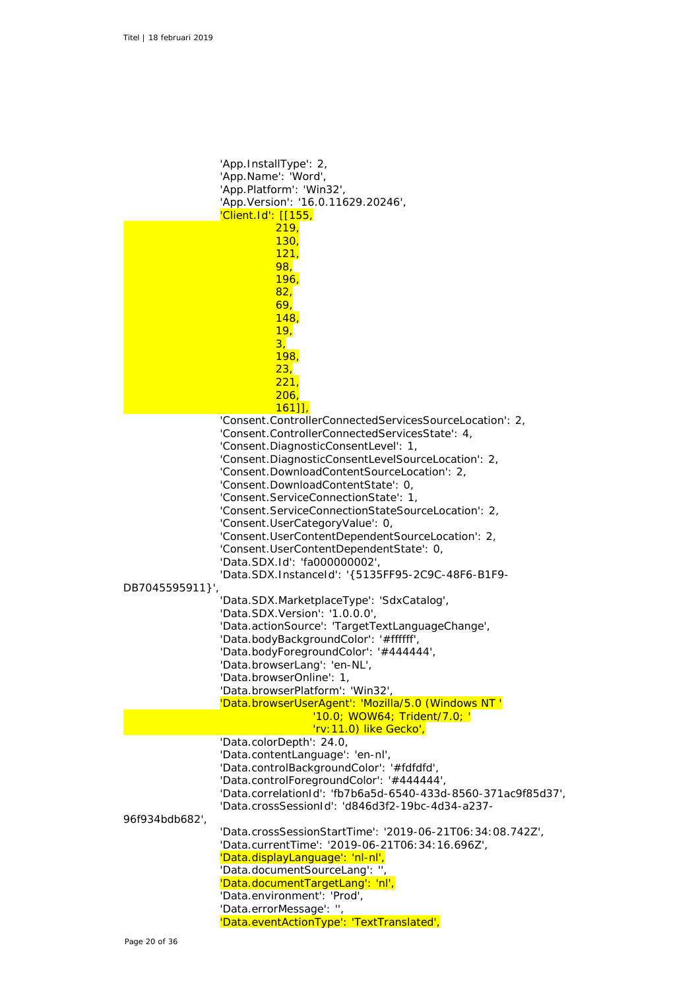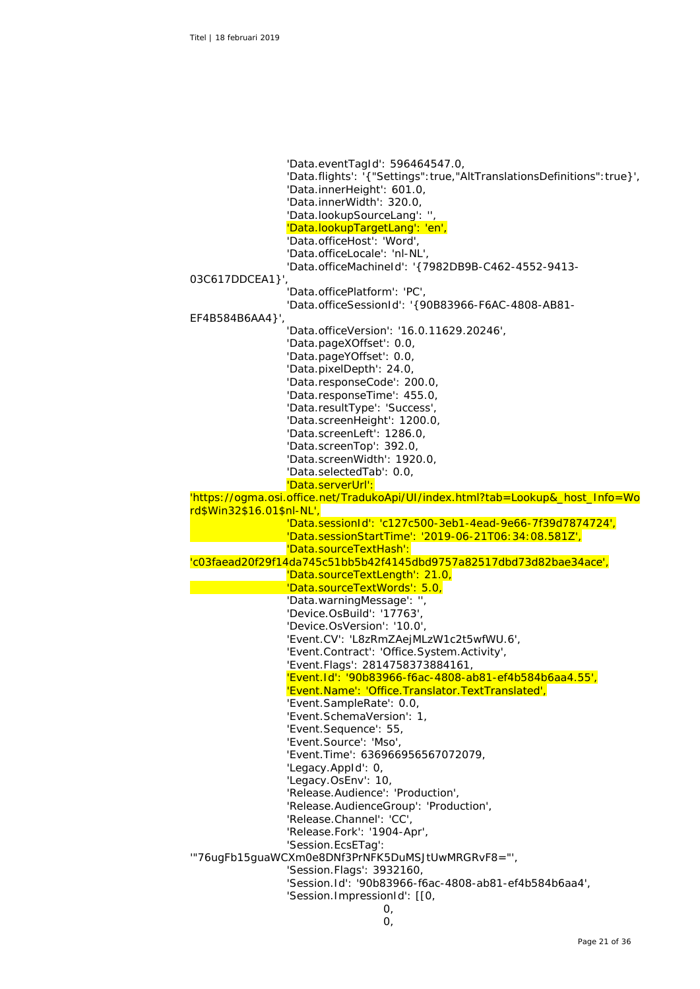|                           | 'Data.eventTagId': 596464547.0,<br>'Data.flights': '{"Settings": true,"AltTranslationsDefinitions": true}',<br>'Data.innerHeight': 601.0,<br>'Data.innerWidth': 320.0,<br>'Data.lookupSourceLang': ",<br>'Data.lookupTargetLang': 'en', |
|---------------------------|-----------------------------------------------------------------------------------------------------------------------------------------------------------------------------------------------------------------------------------------|
|                           | 'Data.officeHost': 'Word',<br>'Data.officeLocale': 'nl-NL',                                                                                                                                                                             |
| 03C617DDCEA1}',           | 'Data.officeMachineId': '{7982DB9B-C462-4552-9413-<br>'Data.officePlatform': 'PC',                                                                                                                                                      |
| EF4B584B6AA4}',           | 'Data.officeSessionId': '{90B83966-F6AC-4808-AB81-                                                                                                                                                                                      |
|                           | 'Data.officeVersion': '16.0.11629.20246',                                                                                                                                                                                               |
|                           | 'Data.pageXOffset': 0.0,                                                                                                                                                                                                                |
|                           | 'Data.pageYOffset': 0.0,                                                                                                                                                                                                                |
|                           | 'Data.pixelDepth': 24.0,                                                                                                                                                                                                                |
|                           | 'Data.responseCode': 200.0,                                                                                                                                                                                                             |
|                           | 'Data.responseTime': 455.0,                                                                                                                                                                                                             |
|                           | 'Data.resultType': 'Success',                                                                                                                                                                                                           |
|                           | 'Data.screenHeight': 1200.0,                                                                                                                                                                                                            |
|                           | 'Data.screenLeft': 1286.0,                                                                                                                                                                                                              |
|                           | 'Data.screenTop': 392.0,                                                                                                                                                                                                                |
|                           | 'Data.screenWidth': 1920.0,                                                                                                                                                                                                             |
|                           | 'Data.selectedTab': 0.0,                                                                                                                                                                                                                |
|                           | 'Data.serverUrl':                                                                                                                                                                                                                       |
|                           | https://ogma.osi.office.net/TradukoApi/UI/index.html?tab=Lookup&_host_Info=Wo'                                                                                                                                                          |
| rd\$Win32\$16.01\$nl-NL', |                                                                                                                                                                                                                                         |
|                           | 'Data.sessionId': 'c127c500-3eb1-4ead-9e66-7f39d7874724',                                                                                                                                                                               |
|                           | 'Data.sessionStartTime': '2019-06-21T06:34:08.581Z',                                                                                                                                                                                    |
|                           | 'Data.sourceTextHash':                                                                                                                                                                                                                  |
|                           | 'c03faead20f29f14da745c51bb5b42f4145dbd9757a82517dbd73d82bae34ace',                                                                                                                                                                     |
|                           | 'Data.sourceTextLength': 21.0,                                                                                                                                                                                                          |
|                           | 'Data.sourceTextWords': 5.0,                                                                                                                                                                                                            |
|                           | 'Data.warningMessage': ",                                                                                                                                                                                                               |
|                           | 'Device.OsBuild': '17763',                                                                                                                                                                                                              |
|                           | 'Device.OsVersion': '10.0',                                                                                                                                                                                                             |
|                           | 'Event.CV': 'L8zRmZAejMLzW1c2t5wfWU.6',                                                                                                                                                                                                 |
|                           | 'Event.Contract': 'Office.System.Activity',                                                                                                                                                                                             |
|                           | 'Event.Flags': 2814758373884161,                                                                                                                                                                                                        |
|                           | Event.Id': '90b83966-f6ac-4808-ab81-ef4b584b6aa4.55','                                                                                                                                                                                  |
|                           | 'Event.Name': 'Office.Translator.TextTranslated',                                                                                                                                                                                       |
|                           | 'Event.SampleRate': 0.0,                                                                                                                                                                                                                |
|                           | 'Event.SchemaVersion': 1,                                                                                                                                                                                                               |
|                           | 'Event.Sequence': 55,                                                                                                                                                                                                                   |
|                           | 'Event.Source': 'Mso',                                                                                                                                                                                                                  |
|                           | 'Event.Time': 636966956567072079,                                                                                                                                                                                                       |
|                           | 'Legacy.AppId': 0,                                                                                                                                                                                                                      |
|                           | 'Legacy.OsEnv': 10,                                                                                                                                                                                                                     |
|                           | 'Release.Audience': 'Production',                                                                                                                                                                                                       |
|                           | 'Release.AudienceGroup': 'Production',                                                                                                                                                                                                  |
|                           | 'Release.Channel': 'CC',                                                                                                                                                                                                                |
|                           | 'Release.Fork': '1904-Apr',                                                                                                                                                                                                             |
|                           | 'Session.EcsETag':                                                                                                                                                                                                                      |
|                           | "76ugFb15guaWCXm0e8DNf3PrNFK5DuMSJtUwMRGRvF8="',                                                                                                                                                                                        |
|                           | 'Session.Flags': 3932160,                                                                                                                                                                                                               |
|                           | 'Session.Id': '90b83966-f6ac-4808-ab81-ef4b584b6aa4',                                                                                                                                                                                   |
|                           | 'Session.ImpressionId': [[0,                                                                                                                                                                                                            |
|                           | 0,                                                                                                                                                                                                                                      |
|                           | 0,                                                                                                                                                                                                                                      |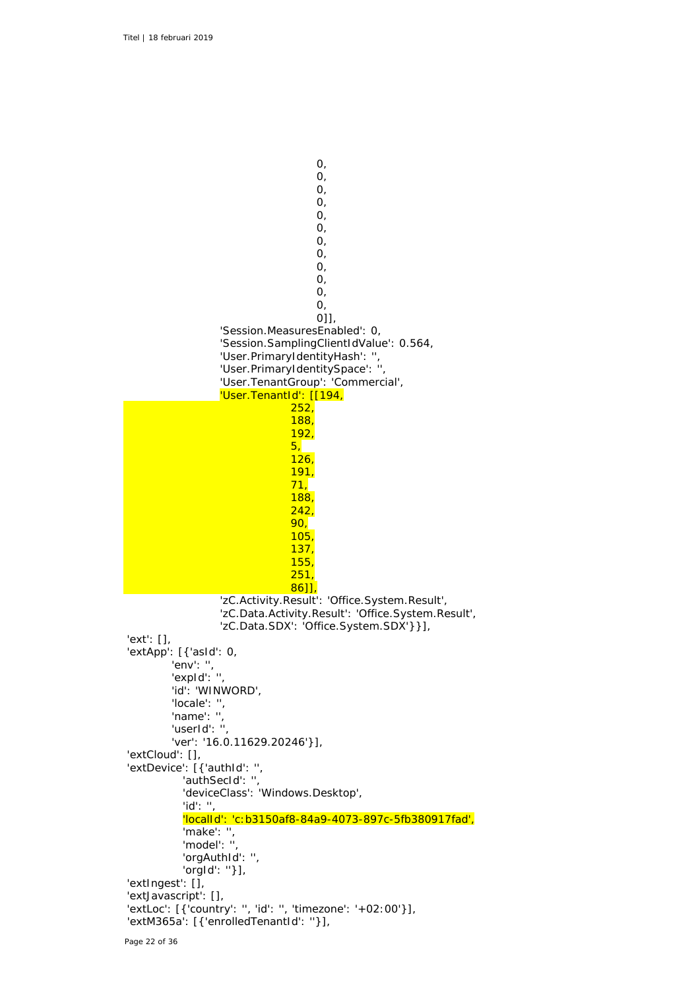$\overline{O}$ , 0,  $\overline{0}$ .  $\begin{matrix}0,\\0, \end{matrix}$  $\overline{O}$ ,  $\overline{O}$ ,  $\Omega$ .  $\mathsf{O}$ 0,  $\overline{O}$ ,  $\overline{O}$ ,  $\mathsf{O}$ 0]], 'Session.MeasuresEnabled': 0, 'Session.SamplingClientIdValue': 0.564, 'User.PrimaryIdentityHash': '', 'User.PrimaryIdentitySpace': " 'User.TenantGroup': 'Commercial', 'User.TenantId': [[194, 252, 188, 192, 5, 126, 191, 71, 188, 242, 90, 105, 137, 155, 251, 86]], 'zC.Activity.Result': 'Office.System.Result', 'zC.Data.Activity.Result': 'Office.System.Result', 'zC.Data.SDX': 'Office.System.SDX'}}], 'ext': [], 'extApp': [{'asId': 0,  $'env$ : " 'expId': '', 'id': 'WINWORD', 'locale': '', 'name': '', 'userId': '', 'ver': '16.0.11629.20246'}], 'extCloud': [], 'extDevice': [{'authId': '', 'authSecId': '', 'deviceClass': 'Windows.Desktop', 'id': '', 'localId': 'c:b3150af8-84a9-4073-897c-5fb380917fad', 'make': " 'model': " 'orgAuthId': '', 'orgId': ''}], 'extIngest': [], 'extJavascript': [], 'extLoc': [{'country': '', 'id': '', 'timezone': '+02:00'}], 'extM365a': [{'enrolledTenantId': ''}],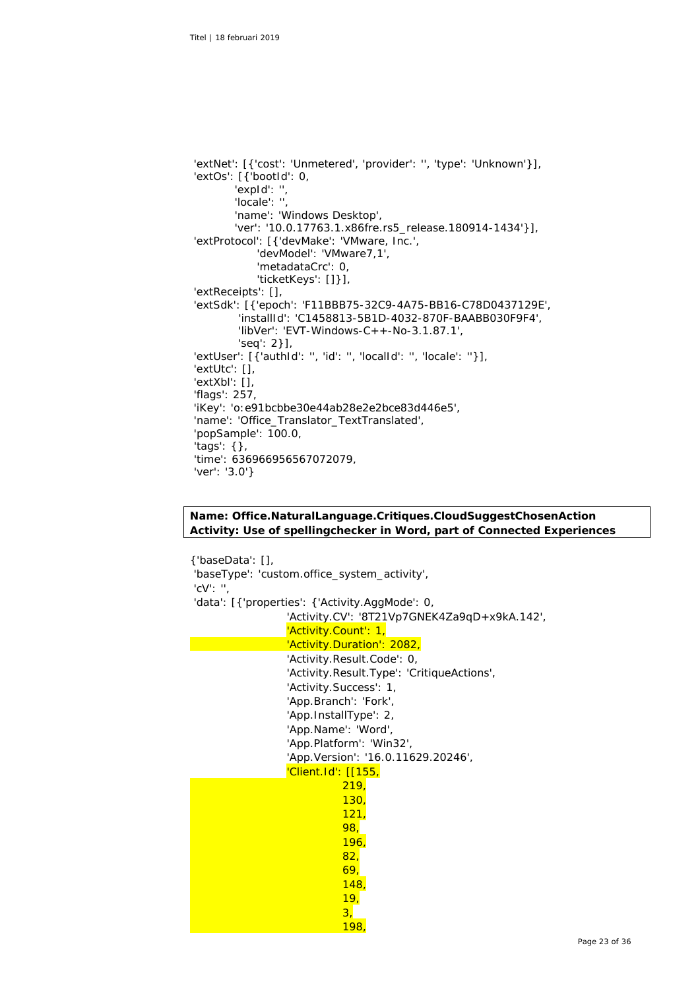```
'extNet': [{'cost': 'Unmetered', 'provider': '', 'type': 'Unknown'}],
'extOs': [{'bootId': 0,
        'expId': "
       'locale': "
        'name': 'Windows Desktop',
        'ver': '10.0.17763.1.x86fre.rs5_release.180914-1434'}],
'extProtocol': [{'devMake': 'VMware, Inc.',
             'devModel': 'VMware7,1',
             'metadataCrc': 0,
             'ticketKeys': []}],
'extReceipts': [],
'extSdk': [{'epoch': 'F11BBB75-32C9-4A75-BB16-C78D0437129E',
         'installId': 'C1458813-5B1D-4032-870F-BAABB030F9F4',
         'libVer': 'EVT-Windows-C++-No-3.1.87.1',
         'seq': 2}],
'extUser': [{'authId': ", 'id': ", 'localId': ", 'locale': "}],
'extUtc': [],
'extXbl': [],
'flags': 257,
'iKey': 'o:e91bcbbe30e44ab28e2e2bce83d446e5',
'name': 'Office_Translator_TextTranslated',
'popSample': 100.0,
'tags': {},
'time': 636966956567072079,
'ver': '3.0'}
```
### **Name: Office.NaturalLanguage.Critiques.CloudSuggestChosenAction Activity: Use of spellingchecker in Word, part of Connected Experiences**

{'baseData': [], 'baseType': 'custom.office\_system\_activity', 'cV': '', 'data': [{'properties': {'Activity.AggMode': 0, 'Activity.CV': '8T21Vp7GNEK4Za9qD+x9kA.142', 'Activity.Count': 1, 'Activity.Duration': 2082, 'Activity.Result.Code': 0, 'Activity.Result.Type': 'CritiqueActions', 'Activity.Success': 1, 'App.Branch': 'Fork', 'App.InstallType': 2, 'App.Name': 'Word', 'App.Platform': 'Win32', 'App.Version': '16.0.11629.20246', 'Client.Id': [[155, 219, 130, 121, 98, 196, 82, 69, 148, 19, 3, 198,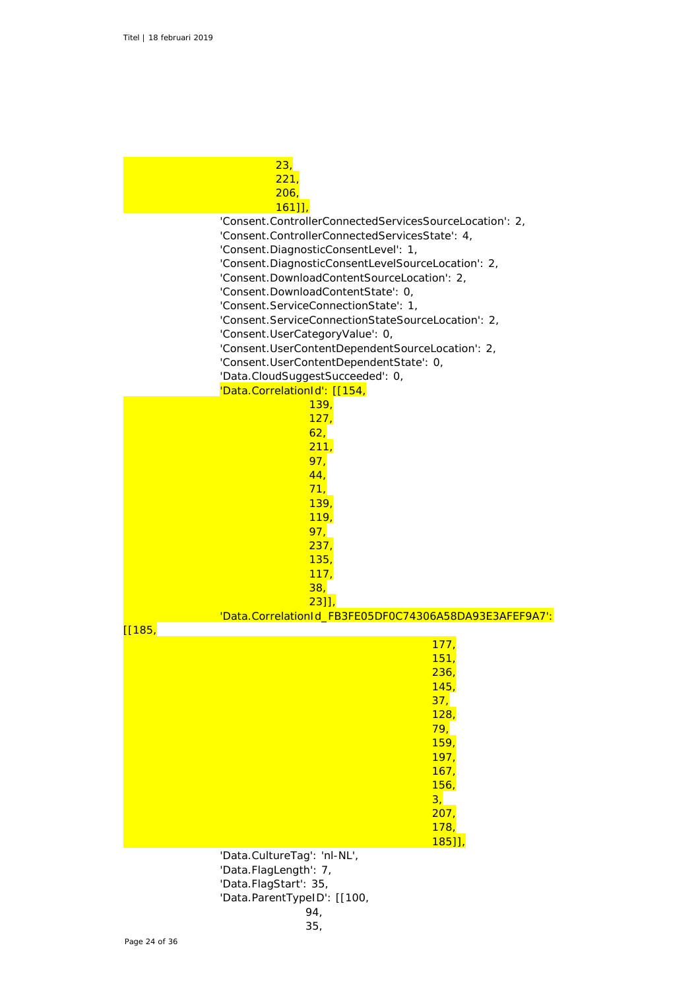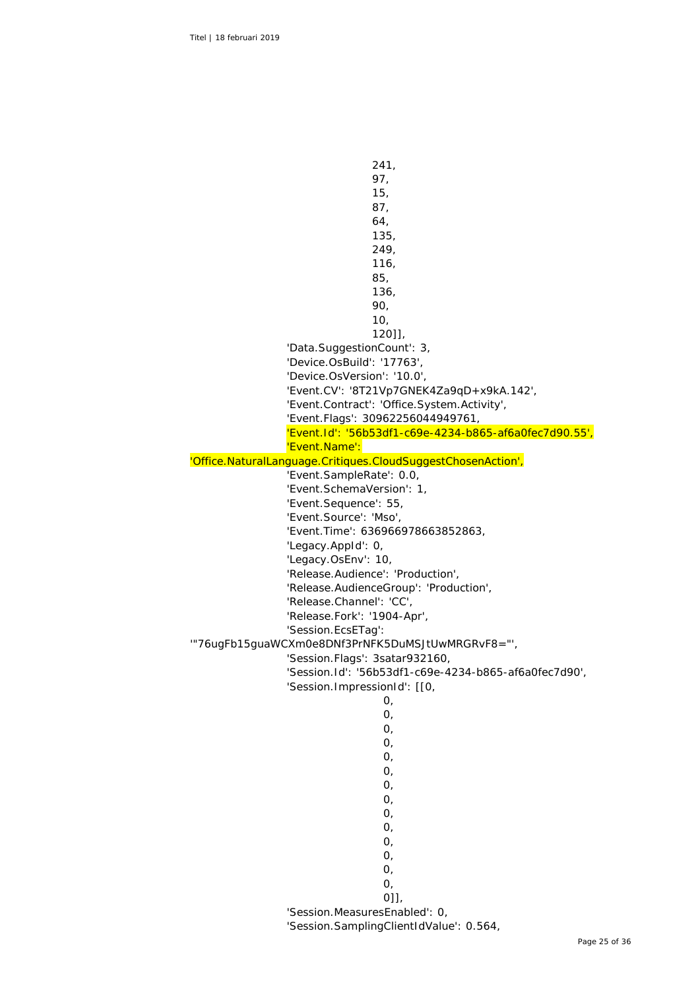241, 97, 15, 87, 64, 135, 249, 116, 85, 136, 90, 10, 120]], 'Data.SuggestionCount': 3, 'Device.OsBuild': '17763', 'Device.OsVersion': '10.0', 'Event.CV': '8T21Vp7GNEK4Za9qD+x9kA.142', 'Event.Contract': 'Office.System.Activity', 'Event.Flags': 30962256044949761, 'Event.Id': '56b53df1-c69e-4234-b865-af6a0fec7d90.55', 'Event.Name': 'Office.NaturalLanguage.Critiques.CloudSuggestChosenAction', 'Event.SampleRate': 0.0, 'Event.SchemaVersion': 1, 'Event.Sequence': 55, 'Event.Source': 'Mso', 'Event.Time': 636966978663852863, 'Legacy.AppId': 0, 'Legacy.OsEnv': 10, 'Release.Audience': 'Production', 'Release.AudienceGroup': 'Production', 'Release.Channel': 'CC', 'Release.Fork': '1904-Apr', 'Session.EcsETag': '"76ugFb15guaWCXm0e8DNf3PrNFK5DuMSJtUwMRGRvF8="', 'Session.Flags': 3satar932160, 'Session.Id': '56b53df1-c69e-4234-b865-af6a0fec7d90', 'Session.ImpressionId': [[0,  $\overline{O}$ ,  $\Omega$ .  $\Omega$ .  $\overline{O}$ ,  $\overline{O}$ , 0,  $O<sub>1</sub>$ 0, 0, 0,  $O<sub>1</sub>$ 0,  $\overline{O}$ ,  $\overline{O}$ , 0]], 'Session.MeasuresEnabled': 0,

'Session.SamplingClientIdValue': 0.564,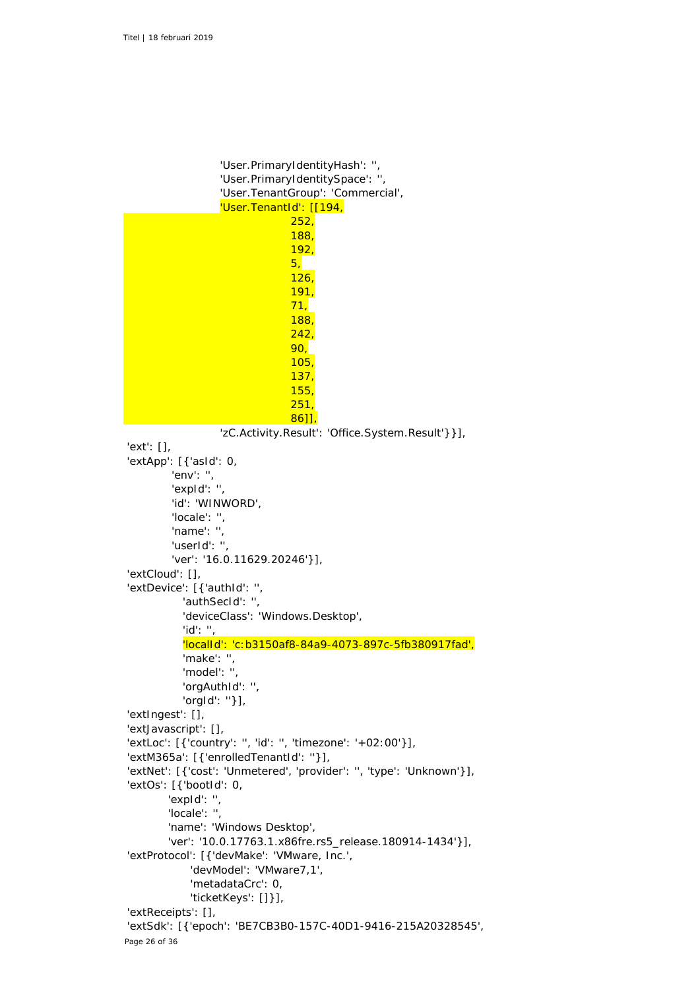```
Page 26 of 36
                    'User.PrimaryIdentityHash': '',
                    'User.PrimaryIdentitySpace': '',
                    'User.TenantGroup': 'Commercial',
                    'User.TenantId': [[194,
                                  252,
                                 188,
                                 192,
                                 5,
                                 126,
                                 191,
                                 71,
                                 188,
                                 242,
                                 90,
                                  105,
                                  137,
                                 155,
                                 251,
                                 86]],
                    'zC.Activity.Result': 'Office.System.Result'}}],
'ext': [],
'extApp': [{'asId': 0,
          'env': '',
          'expId': '',
          'id': 'WINWORD',
          'locale': '',
          'name': '',
          'userId': '',
          'ver': '16.0.11629.20246'}],
'extCloud': [],
'extDevice': [{'authId': '',
            'authSecId': '',
            'deviceClass': 'Windows.Desktop',
            'id': '',
            'localId': 'c:b3150af8-84a9-4073-897c-5fb380917fad',
            'make': '',
            'model': '',
            'orgAuthId': '',
            'orgId': ''}],
'extIngest': [],
'extJavascript': [],
'extLoc': [{'country': '', 'id': '', 'timezone': '+02:00'}],
'extM365a': [{'enrolledTenantId': ''}],
'extNet': [{'cost': 'Unmetered', 'provider': '', 'type': 'Unknown'}],
'extOs': [{'bootId': 0,
         'expId': '',
         'locale': '',
         'name': 'Windows Desktop',
         'ver': '10.0.17763.1.x86fre.rs5_release.180914-1434'}],
'extProtocol': [{'devMake': 'VMware, Inc.',
              'devModel': 'VMware7,1',
              'metadataCrc': 0,
              'ticketKeys': []}],
'extReceipts': [],
'extSdk': [{'epoch': 'BE7CB3B0-157C-40D1-9416-215A20328545',
```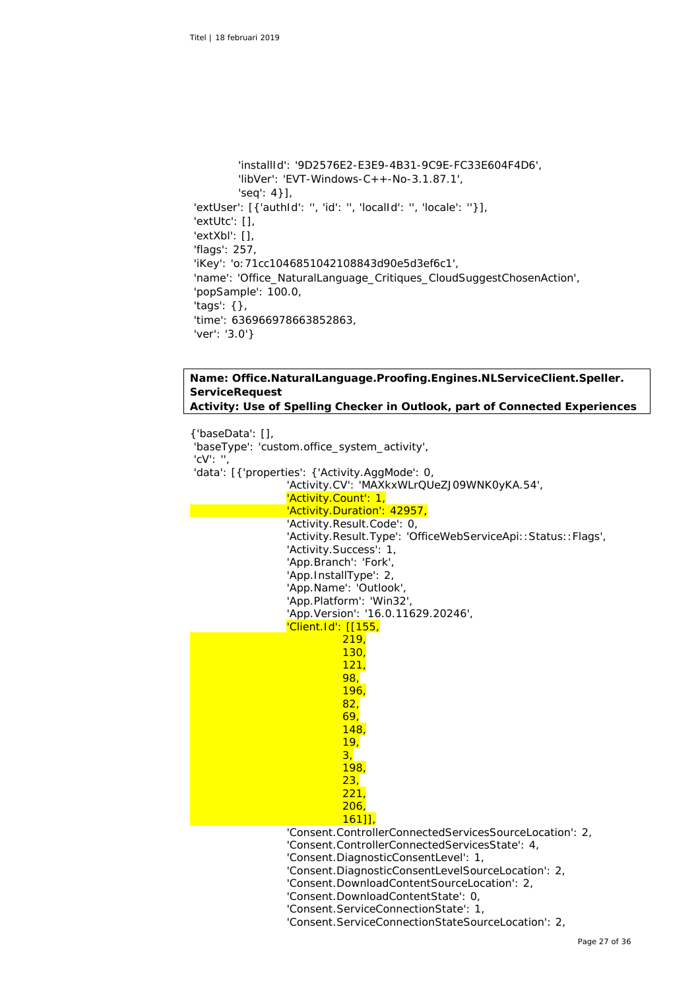```
 'installId': '9D2576E2-E3E9-4B31-9C9E-FC33E604F4D6',
         'libVer': 'EVT-Windows-C++-No-3.1.87.1',
         'seq': 4}],
'extUser': [{'authId': '', 'id': '', 'localId': '', 'locale': ''}],
'extUtc': [],
'extXbl': [],
'flags': 257,
'iKey': 'o:71cc1046851042108843d90e5d3ef6c1',
'name': 'Office_NaturalLanguage_Critiques_CloudSuggestChosenAction',
'popSample': 100.0,
'tags': {},
'time': 636966978663852863,
'ver': '3.0'}
```
### **Name: Office.NaturalLanguage.Proofing.Engines.NLServiceClient.Speller. ServiceRequest Activity: Use of Spelling Checker in Outlook, part of Connected Experiences**

{'baseData': [], 'baseType': 'custom.office\_system\_activity', 'cV': " 'data': [{'properties': {'Activity.AggMode': 0, 'Activity.CV': 'MAXkxWLrQUeZJ09WNK0yKA.54', 'Activity.Count': 1, 'Activity.Duration': 42957, 'Activity.Result.Code': 0, 'Activity.Result.Type': 'OfficeWebServiceApi::Status::Flags', 'Activity.Success': 1, 'App.Branch': 'Fork', 'App.InstallType': 2, 'App.Name': 'Outlook', 'App.Platform': 'Win32', 'App.Version': '16.0.11629.20246', 'Client.Id': [[155, 219, 130, 121, 98, 196, 82, 69, 148, 19, 3, 198,  $23,$  221, 206, 161]], 'Consent.ControllerConnectedServicesSourceLocation': 2, 'Consent.ControllerConnectedServicesState': 4, 'Consent.DiagnosticConsentLevel': 1, 'Consent.DiagnosticConsentLevelSourceLocation': 2, 'Consent.DownloadContentSourceLocation': 2, 'Consent.DownloadContentState': 0, 'Consent.ServiceConnectionState': 1, 'Consent.ServiceConnectionStateSourceLocation': 2,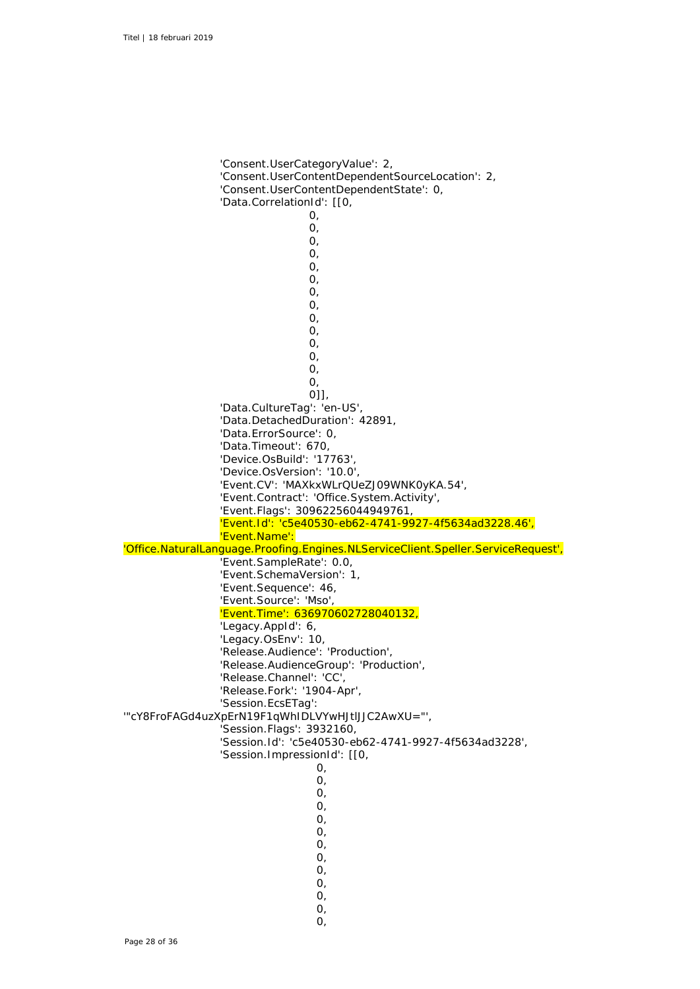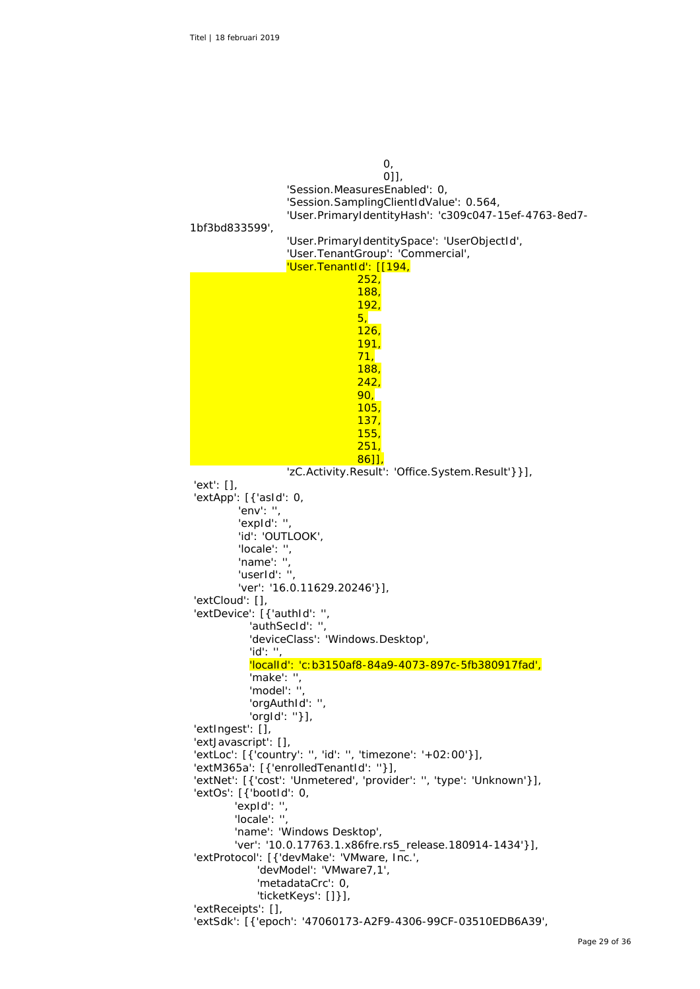$\overline{O}$ ,  $01$  'Session.MeasuresEnabled': 0, 'Session.SamplingClientIdValue': 0.564, 'User.PrimaryIdentityHash': 'c309c047-15ef-4763-8ed7- 1bf3bd833599', 'User.PrimaryIdentitySpace': 'UserObjectId', 'User.TenantGroup': 'Commercial', 'User.TenantId': [[194, 252, 188, 192, 5, 126, 191, 71, 188, 242, 90, 105, 137, 155, 251, 86]], 'zC.Activity.Result': 'Office.System.Result'}}], 'ext': [], 'extApp': [{'asId': 0, 'env': '', 'expId': '', 'id': 'OUTLOOK', 'locale': '', 'name': " 'userId': " 'ver': '16.0.11629.20246'}], 'extCloud': [], 'extDevice': [{'authId': '', 'authSecId': '', 'deviceClass': 'Windows.Desktop',  $\frac{d}{dx}$ : '', 'localId': 'c:b3150af8-84a9-4073-897c-5fb380917fad', 'make': " 'model': '', 'orgAuthId': '', 'orgId': ''}], 'extIngest': [], 'extJavascript': [], 'extLoc': [{'country': '', 'id': '', 'timezone': '+02:00'}], 'extM365a': [{'enrolledTenantId': ''}], 'extNet': [{'cost': 'Unmetered', 'provider': '', 'type': 'Unknown'}], 'extOs': [{'bootId': 0, 'expId': '', 'locale': " 'name': 'Windows Desktop', 'ver': '10.0.17763.1.x86fre.rs5\_release.180914-1434'}], 'extProtocol': [{'devMake': 'VMware, Inc.', 'devModel': 'VMware7,1', 'metadataCrc': 0, 'ticketKeys': []}], 'extReceipts': [], 'extSdk': [{'epoch': '47060173-A2F9-4306-99CF-03510EDB6A39',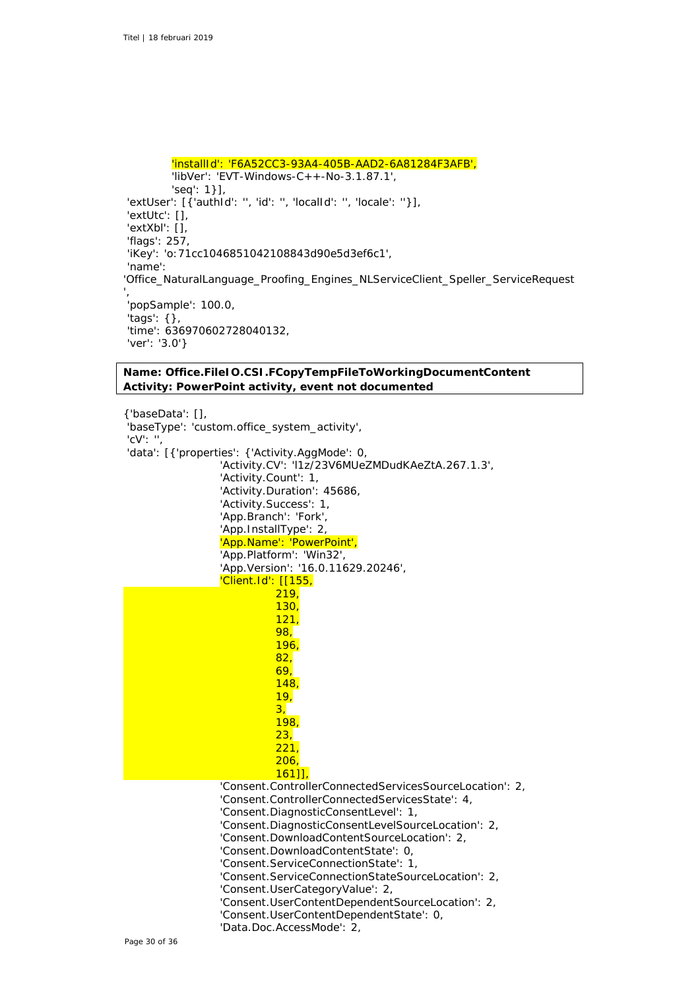```
 'installId': 'F6A52CC3-93A4-405B-AAD2-6A81284F3AFB',
         'libVer': 'EVT-Windows-C++-No-3.1.87.1',
         'seq': 1}],
'extUser': [{'authId': '', 'id': '', 'localId': '', 'locale': ''}],
'extUtc': [],
'extXbl': [],
'flags': 257,
'iKey': 'o:71cc1046851042108843d90e5d3ef6c1',
'name':
'Office_NaturalLanguage_Proofing_Engines_NLServiceClient_Speller_ServiceRequest
',
'popSample': 100.0,
'tags': {},
'time': 636970602728040132,
'ver': '3.0'}
```
### **Name: Office.FileIO.CSI.FCopyTempFileToWorkingDocumentContent Activity: PowerPoint activity, event not documented**

```
{'baseData': [],
'baseType': 'custom.office_system_activity',
'cV': '',
'data': [{'properties': {'Activity.AggMode': 0,
                   'Activity.CV': 'l1z/23V6MUeZMDudKAeZtA.267.1.3',
                   'Activity.Count': 1,
                   'Activity.Duration': 45686,
                   'Activity.Success': 1,
                   'App.Branch': 'Fork',
                   'App.InstallType': 2,
                   'App.Name': 'PowerPoint',
                   'App.Platform': 'Win32',
                   'App.Version': '16.0.11629.20246',
                   'Client.Id': [[155,
                             219,
                            130,
                            121,
                            98,
                            196,
                            82,
                             69,
                             148,
                            19,
                            3,
                            198,
                            23,
                            221,
                            206,
                            161],
                   'Consent.ControllerConnectedServicesSourceLocation': 2,
                   'Consent.ControllerConnectedServicesState': 4,
                   'Consent.DiagnosticConsentLevel': 1,
                   'Consent.DiagnosticConsentLevelSourceLocation': 2,
                   'Consent.DownloadContentSourceLocation': 2,
                   'Consent.DownloadContentState': 0,
                   'Consent.ServiceConnectionState': 1,
                   'Consent.ServiceConnectionStateSourceLocation': 2,
                   'Consent.UserCategoryValue': 2,
                   'Consent.UserContentDependentSourceLocation': 2,
                   'Consent.UserContentDependentState': 0,
                   'Data.Doc.AccessMode': 2,
```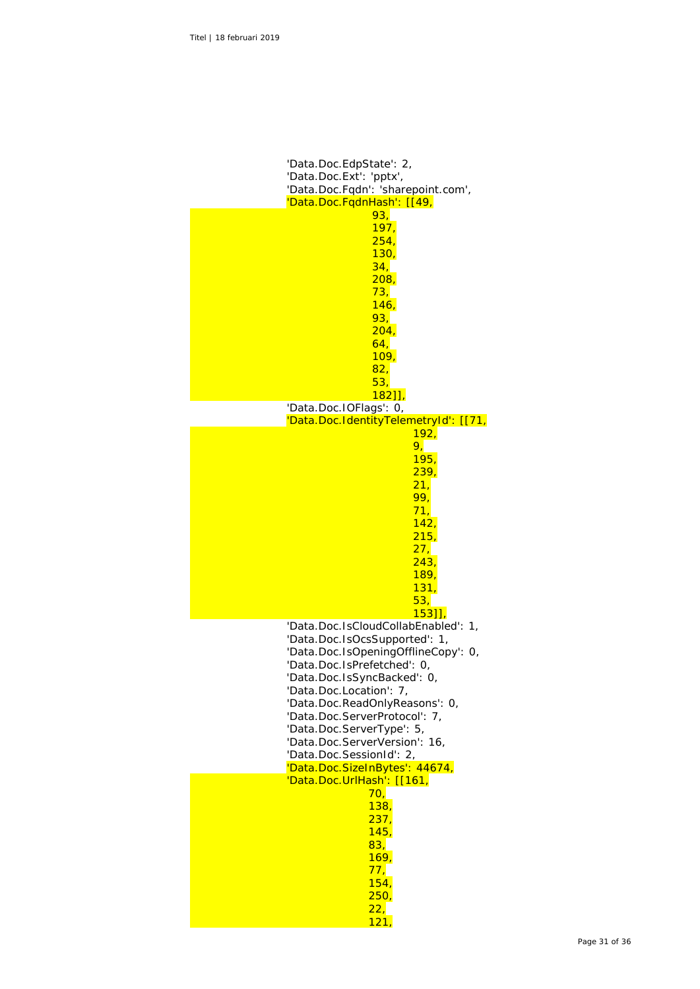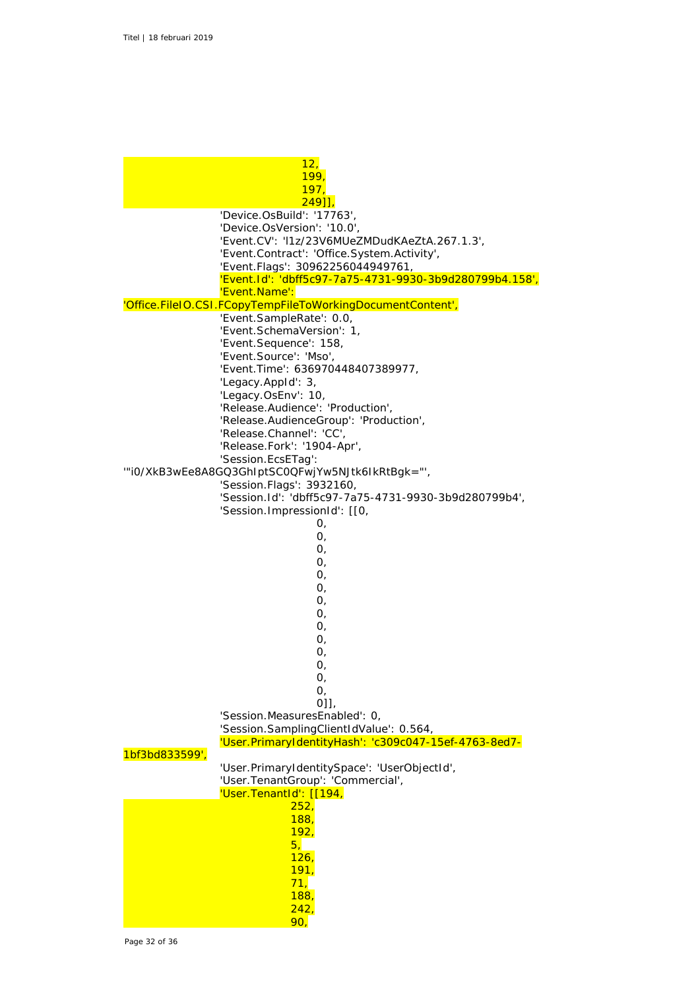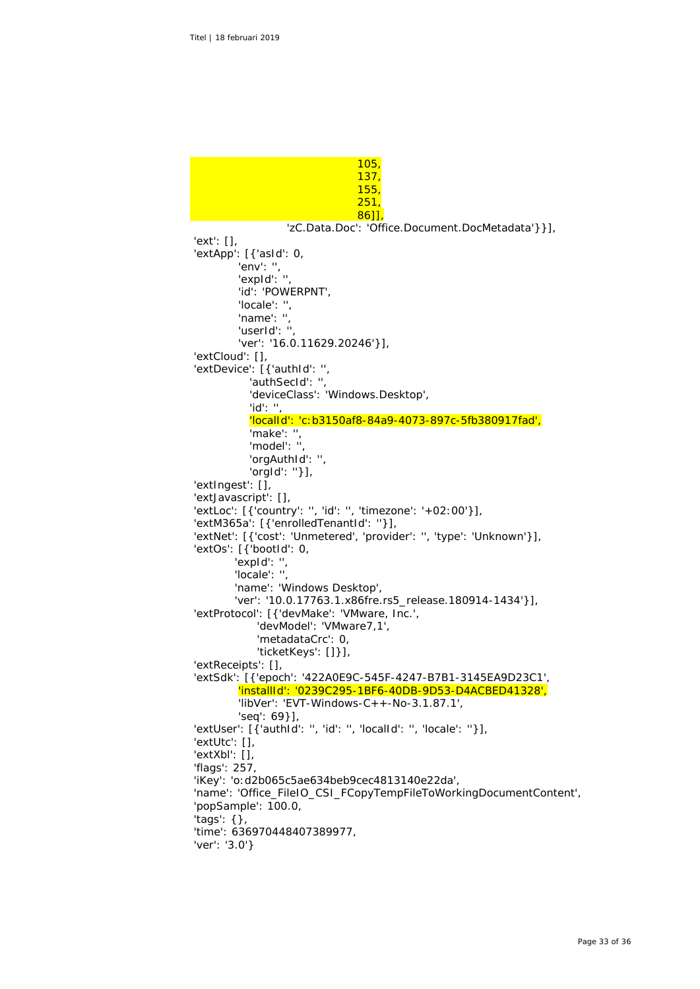```
 105,
                                137,
                                155,
                                251,
                                86]],
                   'zC.Data.Doc': 'Office.Document.DocMetadata'}}],
'ext': [],
'extApp': [{'asId': 0,
          'env': '',
         'expId': ",
          'id': 'POWERPNT',
          'locale': '',
         'name': "
         'userId': "
          'ver': '16.0.11629.20246'}],
'extCloud': [],
'extDevice': [{'authId': "
            'authSecId': '',
            'deviceClass': 'Windows.Desktop',
 'id': '',
 'localId': 'c:b3150af8-84a9-4073-897c-5fb380917fad',
           'make': "
            'model': '',
            'orgAuthId': '',
            'orgId': ''}],
'extIngest': [],
'extJavascript': [],
'extLoc': [{'country': '', 'id': '', 'timezone': '+02:00'}],
'extM365a': [{'enrolledTenantId': ''}],
'extNet': [{'cost': 'Unmetered', 'provider': '', 'type': 'Unknown'}],
'extOs': [{'bootId': 0,
         'expId': '',
        'locale': "
         'name': 'Windows Desktop',
         'ver': '10.0.17763.1.x86fre.rs5_release.180914-1434'}],
'extProtocol': [{'devMake': 'VMware, Inc.',
             'devModel': 'VMware7,1',
             'metadataCrc': 0,
             'ticketKeys': []}],
'extReceipts': [],
'extSdk': [{'epoch': '422A0E9C-545F-4247-B7B1-3145EA9D23C1',
          'installId': '0239C295-1BF6-40DB-9D53-D4ACBED41328',
          'libVer': 'EVT-Windows-C++-No-3.1.87.1',
          'seq': 69}],
'extUser': [{'authId': '', 'id': '', 'localId': '', 'locale': ''}],
'extUtc': [],
'extXbl': [],
'flags': 257,
'iKey': 'o:d2b065c5ae634beb9cec4813140e22da',
'name': 'Office_FileIO_CSI_FCopyTempFileToWorkingDocumentContent',
'popSample': 100.0,
'tags': {},
'time': 636970448407389977,
'ver': '3.0'}
```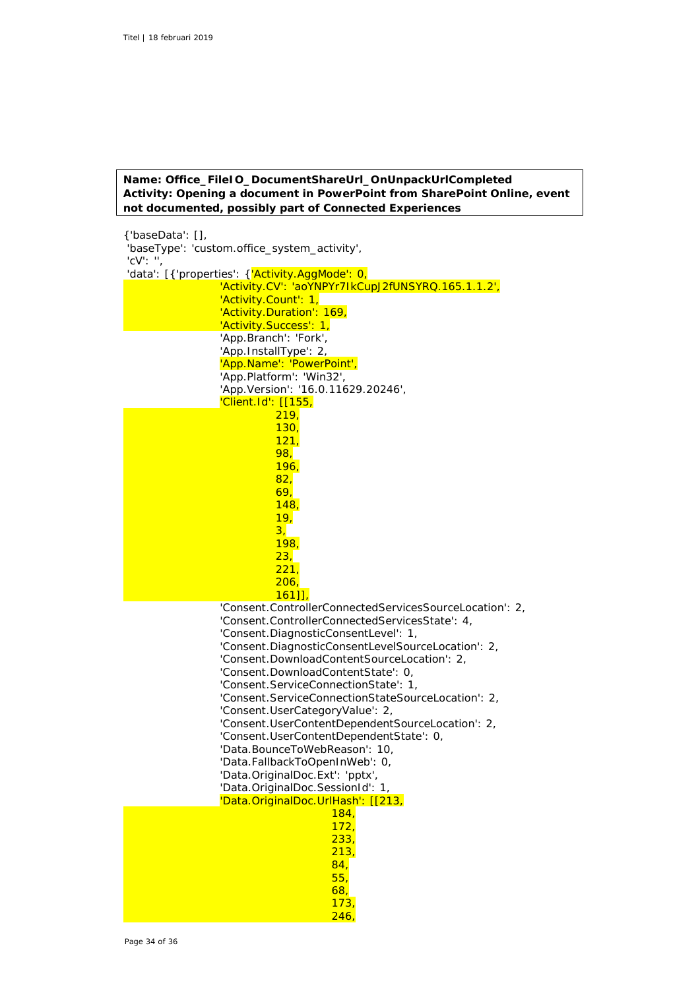### **Name: Office\_FileIO\_DocumentShareUrl\_OnUnpackUrlCompleted Activity: Opening a document in PowerPoint from SharePoint Online, event not documented, possibly part of Connected Experiences**

{'baseData': [], 'baseType': 'custom.office\_system\_activity', 'cV': " 'data': [{'properties': {'Activity.AggMode': 0, 'Activity.CV': 'aoYNPYr7IkCupJ2fUNSYRQ.165.1.1.2', 'Activity.Count': 1, 'Activity.Duration': 169, 'Activity.Success': 1, 'App.Branch': 'Fork', 'App.InstallType': 2, 'App.Name': 'PowerPoint', 'App.Platform': 'Win32', 'App.Version': '16.0.11629.20246', 'Client.Id': [[155, 219, 130, 121, 98, 196, 82, 69, 148, 19, 3, 198, 23, 221, 206, 161]], 'Consent.ControllerConnectedServicesSourceLocation': 2, 'Consent.ControllerConnectedServicesState': 4, 'Consent.DiagnosticConsentLevel': 1, 'Consent.DiagnosticConsentLevelSourceLocation': 2, 'Consent.DownloadContentSourceLocation': 2, 'Consent.DownloadContentState': 0, 'Consent.ServiceConnectionState': 1, 'Consent.ServiceConnectionStateSourceLocation': 2, 'Consent.UserCategoryValue': 2, 'Consent.UserContentDependentSourceLocation': 2, 'Consent.UserContentDependentState': 0, 'Data.BounceToWebReason': 10, 'Data.FallbackToOpenInWeb': 0, 'Data.OriginalDoc.Ext': 'pptx', 'Data.OriginalDoc.SessionId': 1, 'Data.OriginalDoc.UrlHash': [[213, 184, 172, 233, 213, 84, 55, 68, 173, 246,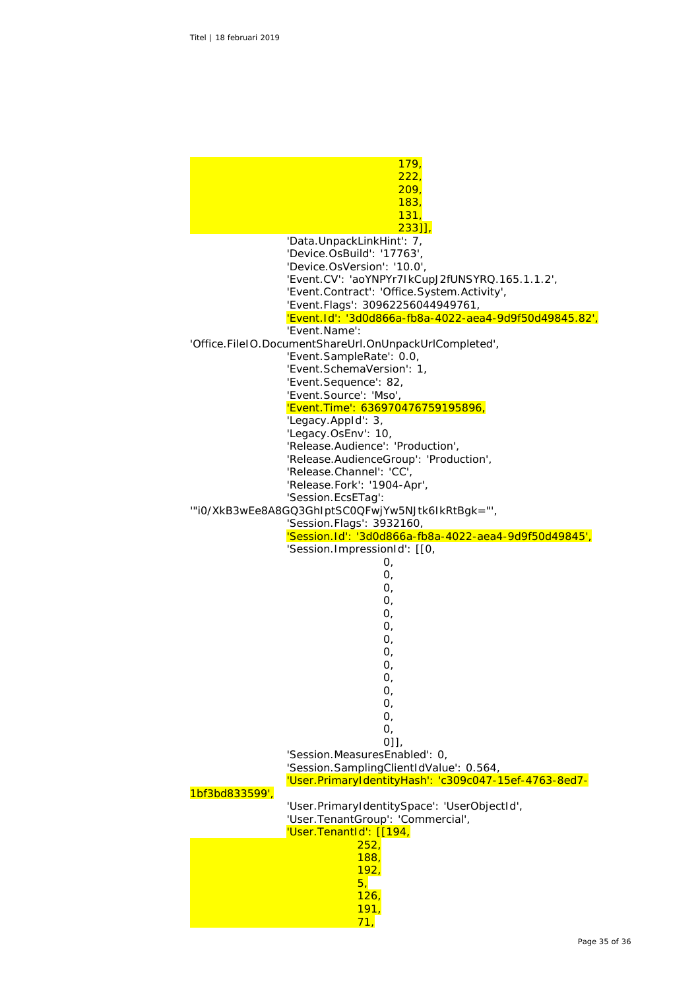